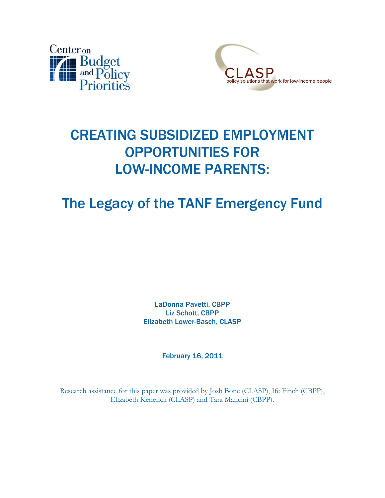



# CREATING SUBSIDIZED EMPLOYMENT OPPORTUNITIES FOR LOW-INCOME PARENTS:

# The Legacy of the TANF Emergency Fund

LaDonna Pavetti, CBPP Liz Schott, CBPP Elizabeth Lower-Basch, CLASP

February 16, 2011

Research assistance for this paper was provided by Josh Bone (CLASP), Ife Finch (CBPP), Elizabeth Kenefick (CLASP) and Tara Mancini (CBPP).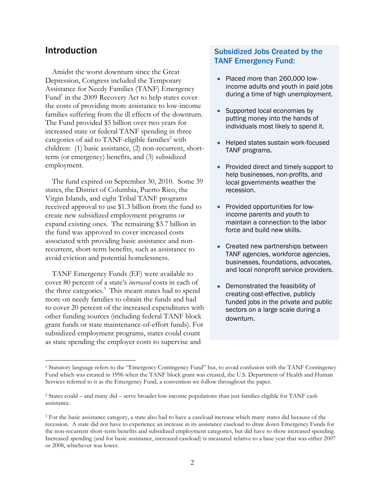### Introduction

Amidst the worst downturn since the Great Depression, Congress included the Temporary Assistance for Needy Families (TANF) Emergency Fund<sup>1</sup> in the 2009 Recovery Act to help states cover the costs of providing more assistance to low-income families suffering from the ill effects of the downturn. The Fund provided \$5 billion over two years for increased state or federal TANF spending in three categories of aid to TANF-eligible families<sup>2</sup> with children: (1) basic assistance, (2) non-recurrent, shortterm (or emergency) benefits, and (3) subsidized employment.

The fund expired on September 30, 2010. Some 39 states, the District of Columbia, Puerto Rico, the Virgin Islands, and eight Tribal TANF programs received approval to use \$1.3 billion from the fund to create new subsidized employment programs or expand existing ones. The remaining \$3.7 billion in the fund was approved to cover increased costs associated with providing basic assistance and nonrecurrent, short-term benefits, such as assistance to avoid eviction and potential homelessness.

TANF Emergency Funds (EF) were available to cover 80 percent of a state's *increased* costs in each of the three categories.<sup>3</sup> This meant states had to spend more on needy families to obtain the funds and had to cover 20 percent of the increased expenditures with other funding sources (including federal TANF block grant funds or state maintenance-of-effort funds). For subsidized employment programs, states could count as state spending the employer costs to supervise and

### Subsidized Jobs Created by the TANF Emergency Fund:

- Placed more than 260,000 lowincome adults and youth in paid jobs during a time of high unemployment.
- Supported local economies by putting money into the hands of individuals most likely to spend it.
- Helped states sustain work-focused TANF programs.
- Provided direct and timely support to help businesses, non-profits, and local governments weather the recession.
- Provided opportunities for lowincome parents and youth to maintain a connection to the labor force and build new skills.
- Created new partnerships between TANF agencies, workforce agencies, businesses, foundations, advocates, and local nonprofit service providers.
- Demonstrated the feasibility of creating cost-effective, publicly funded jobs in the private and public sectors on a large scale during a downturn.

 $\overline{a}$ <sup>1</sup> Statutory language refers to the "Emergency Contingency Fund" but, to avoid confusion with the TANF Contingency Fund which was created in 1996 when the TANF block grant was created, the U.S. Department of Health and Human Services referred to it as the Emergency Fund, a convention we follow throughout the paper.

<sup>2</sup> States could – and many did – serve broader low-income populations than just families eligible for TANF cash assistance.

<sup>&</sup>lt;sup>3</sup> For the basic assistance category, a state also had to have a caseload increase which many states did because of the recession. A state did not have to experience an increase in its assistance caseload to draw down Emergency Funds for the non-recurrent short-term benefits and subsidized employment categories, but did have to show increased spending. Increased spending (and for basic assistance, increased caseload) is measured relative to a base year that was either 2007 or 2008, whichever was lower.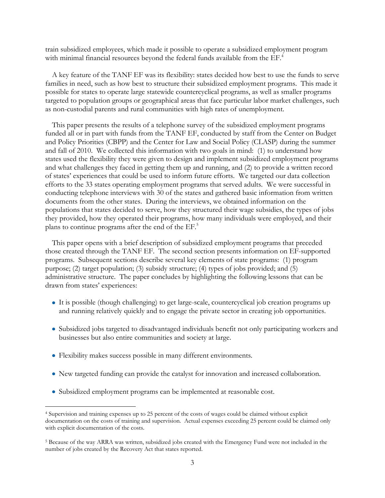train subsidized employees, which made it possible to operate a subsidized employment program with minimal financial resources beyond the federal funds available from the EF.<sup>4</sup>

A key feature of the TANF EF was its flexibility: states decided how best to use the funds to serve families in need, such as how best to structure their subsidized employment programs. This made it possible for states to operate large statewide countercyclical programs, as well as smaller programs targeted to population groups or geographical areas that face particular labor market challenges, such as non-custodial parents and rural communities with high rates of unemployment.

This paper presents the results of a telephone survey of the subsidized employment programs funded all or in part with funds from the TANF EF, conducted by staff from the Center on Budget and Policy Priorities (CBPP) and the Center for Law and Social Policy (CLASP) during the summer and fall of 2010. We collected this information with two goals in mind: (1) to understand how states used the flexibility they were given to design and implement subsidized employment programs and what challenges they faced in getting them up and running, and (2) to provide a written record of states' experiences that could be used to inform future efforts. We targeted our data collection efforts to the 33 states operating employment programs that served adults. We were successful in conducting telephone interviews with 30 of the states and gathered basic information from written documents from the other states. During the interviews, we obtained information on the populations that states decided to serve, how they structured their wage subsidies, the types of jobs they provided, how they operated their programs, how many individuals were employed, and their plans to continue programs after the end of the EF. 5

This paper opens with a brief description of subsidized employment programs that preceded those created through the TANF EF. The second section presents information on EF-supported programs. Subsequent sections describe several key elements of state programs: (1) program purpose; (2) target population; (3) subsidy structure; (4) types of jobs provided; and (5) administrative structure. The paper concludes by highlighting the following lessons that can be drawn from states' experiences:

- It is possible (though challenging) to get large-scale, countercyclical job creation programs up and running relatively quickly and to engage the private sector in creating job opportunities.
- Subsidized jobs targeted to disadvantaged individuals benefit not only participating workers and businesses but also entire communities and society at large.
- Flexibility makes success possible in many different environments.

- New targeted funding can provide the catalyst for innovation and increased collaboration.
- Subsidized employment programs can be implemented at reasonable cost.

<sup>4</sup> Supervision and training expenses up to 25 percent of the costs of wages could be claimed without explicit documentation on the costs of training and supervision. Actual expenses exceeding 25 percent could be claimed only with explicit documentation of the costs.

<sup>5</sup> Because of the way ARRA was written, subsidized jobs created with the Emergency Fund were not included in the number of jobs created by the Recovery Act that states reported.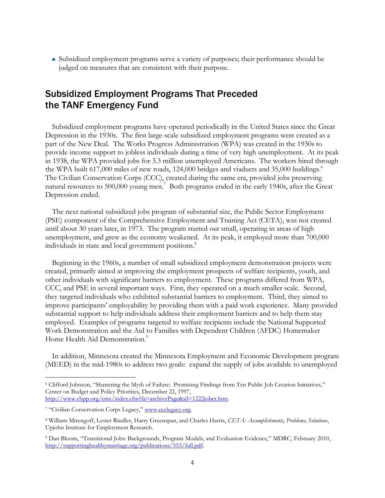Subsidized employment programs serve a variety of purposes; their performance should be judged on measures that are consistent with their purpose.

# Subsidized Employment Programs That Preceded the TANF Emergency Fund

Subsidized employment programs have operated periodically in the United States since the Great Depression in the 1930s. The first large-scale subsidized employment programs were created as a part of the New Deal. The Works Progress Administration (WPA) was created in the 1930s to provide income support to jobless individuals during a time of very high unemployment. At its peak in 1938, the WPA provided jobs for 3.3 million unemployed Americans. The workers hired through the WPA built 617,000 miles of new roads, 124,000 bridges and viaducts and 35,000 buildings.<sup>6</sup> The Civilian Conservation Corps (CCC), created during the same era, provided jobs preserving natural resources to 500,000 young men.<sup>7</sup> Both programs ended in the early 1940s, after the Great Depression ended.

The next national subsidized jobs program of substantial size, the Public Sector Employment (PSE) component of the Comprehensive Employment and Training Act (CETA), was not created until about 30 years later, in 1973. The program started out small, operating in areas of high unemployment, and grew as the economy weakened. At its peak, it employed more than 700,000 individuals in state and local government positions. 8

Beginning in the 1960s, a number of small subsidized employment demonstration projects were created, primarily aimed at improving the employment prospects of welfare recipients, youth, and other individuals with significant barriers to employment. These programs differed from WPA, CCC, and PSE in several important ways. First, they operated on a much smaller scale. Second, they targeted individuals who exhibited substantial barriers to employment. Third, they aimed to improve participants' employability by providing them with a paid work experience. Many provided substantial support to help individuals address their employment barriers and to help them stay employed. Examples of programs targeted to welfare recipients include the National Supported Work Demonstration and the Aid to Families with Dependent Children (AFDC) Homemaker Home Health Aid Demonstration.<sup>9</sup>

In addition, Minnesota created the Minnesota Employment and Economic Development program (MEED) in the mid-1980s to address two goals: expand the supply of jobs available to unemployed

<sup>&</sup>lt;sup>6</sup> Clifford Johnson, "Shattering the Myth of Failure: Promising Findings from Ten Public Job Creation Initiatives," Center on Budget and Policy Priorities, December 22, 1997, [http://www.cbpp.org/cms/index.cfm?fa=archivePage&id=1222jobcr.htm.](http://www.cbpp.org/cms/index.cfm?fa=archivePage&id=1222jobcr.htm)

<sup>&</sup>lt;sup>7</sup> "Civilian Conservation Corps Legacy," [www.ccclegacy.org.](http://www.ccclegacy.org/)

<sup>8</sup> William Mirengoff, Lester Rindler, Harry Greenspan, and Charles Harris, *CETA: Accomplishments, Problems, Solutions*, Upjohn Institute for Employment Research.

<sup>&</sup>lt;sup>9</sup> Dan Bloom, "Transitional Jobs: Backgrounds, Program Models, and Evaluation Evidence," MDRC, February 2010, [http://supportinghealthymarriage.org/publications/553/full.pdf.](http://supportinghealthymarriage.org/publications/553/full.pdf)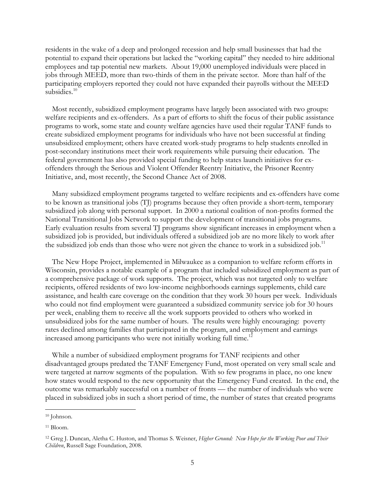residents in the wake of a deep and prolonged recession and help small businesses that had the potential to expand their operations but lacked the "working capital" they needed to hire additional employees and tap potential new markets. About 19,000 unemployed individuals were placed in jobs through MEED, more than two-thirds of them in the private sector. More than half of the participating employers reported they could not have expanded their payrolls without the MEED subsidies.<sup>10</sup>

Most recently, subsidized employment programs have largely been associated with two groups: welfare recipients and ex-offenders. As a part of efforts to shift the focus of their public assistance programs to work, some state and county welfare agencies have used their regular TANF funds to create subsidized employment programs for individuals who have not been successful at finding unsubsidized employment; others have created work-study programs to help students enrolled in post-secondary institutions meet their work requirements while pursuing their education. The federal government has also provided special funding to help states launch initiatives for exoffenders through the Serious and Violent Offender Reentry Initiative, the Prisoner Reentry Initiative, and, most recently, the Second Chance Act of 2008.

Many subsidized employment programs targeted to welfare recipients and ex-offenders have come to be known as transitional jobs (TJ) programs because they often provide a short-term, temporary subsidized job along with personal support. In 2000 a national coalition of non-profits formed the National Transitional Jobs Network to support the development of transitional jobs programs. Early evaluation results from several TJ programs show significant increases in employment when a subsidized job is provided, but individuals offered a subsidized job are no more likely to work after the subsidized job ends than those who were not given the chance to work in a subsidized job.<sup>11</sup>

The New Hope Project, implemented in Milwaukee as a companion to welfare reform efforts in Wisconsin, provides a notable example of a program that included subsidized employment as part of a comprehensive package of work supports. The project, which was not targeted only to welfare recipients, offered residents of two low-income neighborhoods earnings supplements, child care assistance, and health care coverage on the condition that they work 30 hours per week. Individuals who could not find employment were guaranteed a subsidized community service job for 30 hours per week, enabling them to receive all the work supports provided to others who worked in unsubsidized jobs for the same number of hours. The results were highly encouraging: poverty rates declined among families that participated in the program, and employment and earnings increased among participants who were not initially working full time.<sup>12</sup>

While a number of subsidized employment programs for TANF recipients and other disadvantaged groups predated the TANF Emergency Fund, most operated on very small scale and were targeted at narrow segments of the population. With so few programs in place, no one knew how states would respond to the new opportunity that the Emergency Fund created. In the end, the outcome was remarkably successful on a number of fronts — the number of individuals who were placed in subsidized jobs in such a short period of time, the number of states that created programs

<sup>&</sup>lt;sup>10</sup> Johnson.

<sup>11</sup> Bloom.

<sup>12</sup> Greg J. Duncan, Aletha C. Huston, and Thomas S. Weisner, *Higher Ground: New Hope for the Working Poor and Their Children*, Russell Sage Foundation, 2008.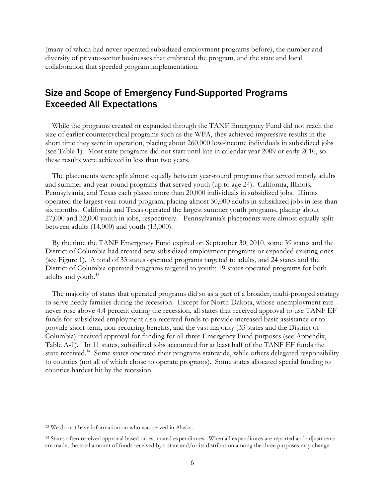(many of which had never operated subsidized employment programs before), the number and diversity of private-sector businesses that embraced the program, and the state and local collaboration that speeded program implementation.

# Size and Scope of Emergency Fund-Supported Programs Exceeded All Expectations

While the programs created or expanded through the TANF Emergency Fund did not reach the size of earlier countercyclical programs such as the WPA, they achieved impressive results in the short time they were in operation, placing about 260,000 low-income individuals in subsidized jobs (see Table 1). Most state programs did not start until late in calendar year 2009 or early 2010, so these results were achieved in less than two years.

The placements were split almost equally between year-round programs that served mostly adults and summer and year-round programs that served youth (up to age 24). California, Illinois, Pennsylvania, and Texas each placed more than 20,000 individuals in subsidized jobs. Illinois operated the largest year-round program, placing almost 30,000 adults in subsidized jobs in less than six months. California and Texas operated the largest summer youth programs, placing about 27,000 and 22,000 youth in jobs, respectively. Pennsylvania's placements were almost equally split between adults (14,000) and youth (13,000).

By the time the TANF Emergency Fund expired on September 30, 2010, some 39 states and the District of Columbia had created new subsidized employment programs or expanded existing ones (see Figure 1). A total of 33 states operated programs targeted to adults, and 24 states and the District of Columbia operated programs targeted to youth; 19 states operated programs for both adults and youth.<sup>13</sup>

The majority of states that operated programs did so as a part of a broader, multi-pronged strategy to serve needy families during the recession. Except for North Dakota, whose unemployment rate never rose above 4.4 percent during the recession, all states that received approval to use TANF EF funds for subsidized employment also received funds to provide increased basic assistance or to provide short-term, non-recurring benefits, and the vast majority (33 states and the District of Columbia) received approval for funding for all three Emergency Fund purposes (see Appendix, Table A-1). In 11 states, subsidized jobs accounted for at least half of the TANF EF funds the state received.<sup>14</sup> Some states operated their programs statewide, while others delegated responsibility to counties (not all of which chose to operate programs). Some states allocated special funding to counties hardest hit by the recession.

<sup>13</sup> We do not have information on who was served in Alaska.

<sup>14</sup> States often received approval based on estimated expenditures. When all expenditures are reported and adjustments are made, the total amount of funds received by a state and/or its distribution among the three purposes may change.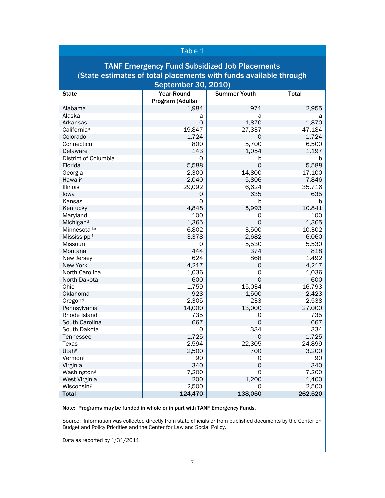### Table 1

### TANF Emergency Fund Subsidized Job Placements (State estimates of total placements with funds available through September 30, 2010)

| <b>State</b>             | Year-Round       | <b>Summer Youth</b> | <b>Total</b> |
|--------------------------|------------------|---------------------|--------------|
|                          | Program (Adults) |                     |              |
| Alabama                  | 1,984            | 971                 | 2,955        |
| Alaska                   | a                | a                   | a            |
| Arkansas                 | 0                | 1,870               | 1,870        |
| California <sup>c</sup>  | 19,847           | 27,337              | 47,184       |
| Colorado                 | 1,724            | 0                   | 1,724        |
| Connecticut              | 800              | 5,700               | 6,500        |
| Delaware                 | 143              | 1,054               | 1,197        |
| District of Columbia     | 0                | b                   | b            |
| Florida                  | 5,588            | $\overline{O}$      | 5,588        |
| Georgia                  | 2,300            | 14,800              | 17,100       |
| Hawaiid                  | 2,040            | 5,806               | 7,846        |
| Illinois                 | 29,092           | 6,624               | 35,716       |
| lowa                     | 0                | 635                 | 635          |
| Kansas                   | 0                | b                   | b            |
| Kentucky                 | 4,848            | 5,993               | 10,841       |
| Maryland                 | 100              | 0                   | 100          |
| Michigand                | 1,365            | $\overline{O}$      | 1,365        |
| Minnesota <sup>d,e</sup> | 6,802            | 3,500               | 10,302       |
| Mississippif             | 3,378            | 2,682               | 6,060        |
| Missouri                 | 0                | 5,530               | 5,530        |
| Montana                  | 444              | 374                 | 818          |
| New Jersey               | 624              | 868                 | 1,492        |
| New York                 | 4,217            | 0                   | 4,217        |
| North Carolina           | 1,036            | 0                   | 1,036        |
| North Dakota             | 600              | $\mathbf 0$         | 600          |
| Ohio                     | 1,759            | 15,034              | 16,793       |
| Oklahoma                 | 923              | 1,500               | 2,423        |
| Oregond                  | 2,305            | 233                 | 2,538        |
| Pennsylvania             | 14,000           | 13,000              | 27,000       |
| Rhode Island             | 735              | 0                   | 735          |
| South Carolina           | 667              | $\mathbf 0$         | 667          |
| South Dakota             | 0                | 334                 | 334          |
| Tennessee                | 1,725            | $\mathbf 0$         | 1,725        |
| Texas                    | 2,594            | 22,305              | 24,899       |
| Utah <sup>g</sup>        | 2,500            | 700                 | 3,200        |
| Vermont                  | 90               | 0                   | 90           |
| Virginia                 | 340              | $\mathbf 0$         | 340          |
| Washingtond              | 7,200            | 0                   | 7,200        |
| West Virginia            | 200              | 1,200               | 1,400        |
| Wisconsing               | 2,500            | 0                   | 2,500        |
| <b>Total</b>             | 124,470          | 138,050             | 262,520      |

Note: Programs may be funded in whole or in part with TANF Emergency Funds.

Source: Information was collected directly from state officials or from published documents by the Center on Budget and Policy Priorities and the Center for Law and Social Policy.

Data as reported by 1/31/2011.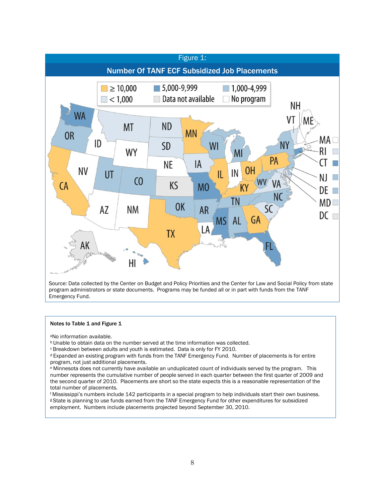

program administrators or state documents. Programs may be funded all or in part with funds from the TANF Emergency Fund.

#### Notes to Table 1 and Figure 1

<sup>a</sup>No information available.

**b** Unable to obtain data on the number served at the time information was collected.

**CBreakdown between adults and youth is estimated. Data is only for FY 2010.** 

<sup>d</sup>Expanded an existing program with funds from the TANF Emergency Fund. Number of placements is for entire program, not just additional placements.

<sup>e</sup>Minnesota does not currently have available an unduplicated count of individuals served by the program. This number represents the cumulative number of people served in each quarter between the first quarter of 2009 and the second quarter of 2010. Placements are short so the state expects this is a reasonable representation of the total number of placements.

<sup>f</sup>Mississippi's numbers include 142 participants in a special program to help individuals start their own business. <sup>g</sup> State is planning to use funds earned from the TANF Emergency Fund for other expenditures for subsidized employment. Numbers include placements projected beyond September 30, 2010.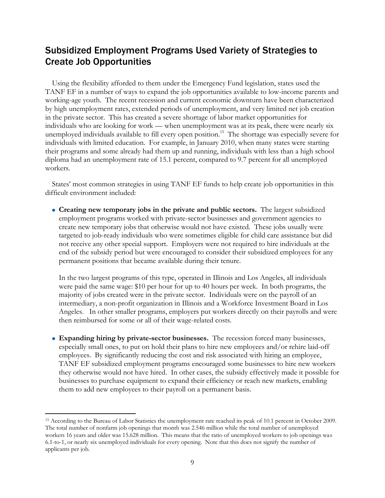# Subsidized Employment Programs Used Variety of Strategies to Create Job Opportunities

Using the flexibility afforded to them under the Emergency Fund legislation, states used the TANF EF in a number of ways to expand the job opportunities available to low-income parents and working-age youth. The recent recession and current economic downturn have been characterized by high unemployment rates, extended periods of unemployment, and very limited net job creation in the private sector. This has created a severe shortage of labor market opportunities for individuals who are looking for work — when unemployment was at its peak, there were nearly six unemployed individuals available to fill every open position.<sup>15</sup> The shortage was especially severe for individuals with limited education. For example, in January 2010, when many states were starting their programs and some already had them up and running, individuals with less than a high school diploma had an unemployment rate of 15.1 percent, compared to 9.7 percent for all unemployed workers.

States' most common strategies in using TANF EF funds to help create job opportunities in this difficult environment included:

**Creating new temporary jobs in the private and public sectors.** The largest subsidized employment programs worked with private-sector businesses and government agencies to create new temporary jobs that otherwise would not have existed. These jobs usually were targeted to job-ready individuals who were sometimes eligible for child care assistance but did not receive any other special support. Employers were not required to hire individuals at the end of the subsidy period but were encouraged to consider their subsidized employees for any permanent positions that became available during their tenure.

In the two largest programs of this type, operated in Illinois and Los Angeles, all individuals were paid the same wage: \$10 per hour for up to 40 hours per week. In both programs, the majority of jobs created were in the private sector. Individuals were on the payroll of an intermediary, a non-profit organization in Illinois and a Workforce Investment Board in Los Angeles. In other smaller programs, employers put workers directly on their payrolls and were then reimbursed for some or all of their wage-related costs.

**Expanding hiring by private-sector businesses.** The recession forced many businesses, especially small ones, to put on hold their plans to hire new employees and/or rehire laid-off employees. By significantly reducing the cost and risk associated with hiring an employee, TANF EF subsidized employment programs encouraged some businesses to hire new workers they otherwise would not have hired. In other cases, the subsidy effectively made it possible for businesses to purchase equipment to expand their efficiency or reach new markets, enabling them to add new employees to their payroll on a permanent basis.

<sup>&</sup>lt;sup>15</sup> According to the Bureau of Labor Statistics the unemployment rate reached its peak of 10.1 percent in October 2009. The total number of nonfarm job openings that month was 2.546 million while the total number of unemployed workers 16 years and older was 15.628 million. This means that the ratio of unemployed workers to job openings was 6.1-to-1, or nearly six unemployed individuals for every opening. Note that this does not signify the number of applicants per job.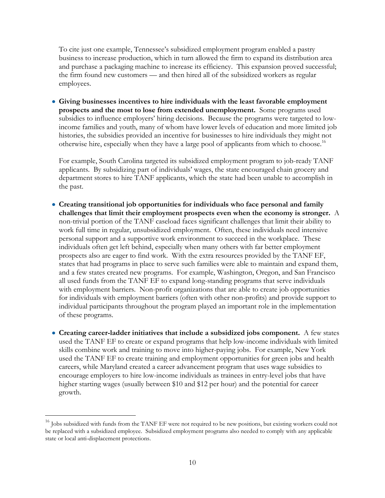To cite just one example, Tennessee's subsidized employment program enabled a pastry business to increase production, which in turn allowed the firm to expand its distribution area and purchase a packaging machine to increase its efficiency. This expansion proved successful; the firm found new customers — and then hired all of the subsidized workers as regular employees.

**Giving businesses incentives to hire individuals with the least favorable employment prospects and the most to lose from extended unemployment.** Some programs used subsidies to influence employers' hiring decisions. Because the programs were targeted to lowincome families and youth, many of whom have lower levels of education and more limited job histories, the subsidies provided an incentive for businesses to hire individuals they might not otherwise hire, especially when they have a large pool of applicants from which to choose.<sup>16</sup>

For example, South Carolina targeted its subsidized employment program to job-ready TANF applicants. By subsidizing part of individuals' wages, the state encouraged chain grocery and department stores to hire TANF applicants, which the state had been unable to accomplish in the past.

- **Creating transitional job opportunities for individuals who face personal and family challenges that limit their employment prospects even when the economy is stronger.** A non-trivial portion of the TANF caseload faces significant challenges that limit their ability to work full time in regular, unsubsidized employment. Often, these individuals need intensive personal support and a supportive work environment to succeed in the workplace. These individuals often get left behind, especially when many others with far better employment prospects also are eager to find work. With the extra resources provided by the TANF EF, states that had programs in place to serve such families were able to maintain and expand them, and a few states created new programs. For example, Washington, Oregon, and San Francisco all used funds from the TANF EF to expand long-standing programs that serve individuals with employment barriers. Non-profit organizations that are able to create job opportunities for individuals with employment barriers (often with other non-profits) and provide support to individual participants throughout the program played an important role in the implementation of these programs.
- **Creating career-ladder initiatives that include a subsidized jobs component.** A few states used the TANF EF to create or expand programs that help low-income individuals with limited skills combine work and training to move into higher-paying jobs. For example, New York used the TANF EF to create training and employment opportunities for green jobs and health careers, while Maryland created a career advancement program that uses wage subsidies to encourage employers to hire low-income individuals as trainees in entry-level jobs that have higher starting wages (usually between \$10 and \$12 per hour) and the potential for career growth.

<sup>&</sup>lt;sup>16</sup> Jobs subsidized with funds from the TANF EF were not required to be new positions, but existing workers could not be replaced with a subsidized employee. Subsidized employment programs also needed to comply with any applicable state or local anti-displacement protections.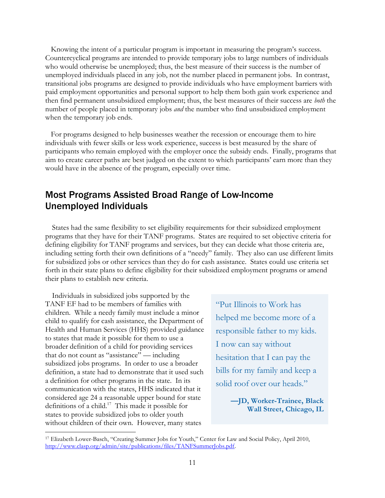Knowing the intent of a particular program is important in measuring the program's success. Countercyclical programs are intended to provide temporary jobs to large numbers of individuals who would otherwise be unemployed; thus, the best measure of their success is the number of unemployed individuals placed in any job, not the number placed in permanent jobs. In contrast, transitional jobs programs are designed to provide individuals who have employment barriers with paid employment opportunities and personal support to help them both gain work experience and then find permanent unsubsidized employment; thus, the best measures of their success are *both* the number of people placed in temporary jobs *and* the number who find unsubsidized employment when the temporary job ends.

For programs designed to help businesses weather the recession or encourage them to hire individuals with fewer skills or less work experience, success is best measured by the share of participants who remain employed with the employer once the subsidy ends. Finally, programs that aim to create career paths are best judged on the extent to which participants' earn more than they would have in the absence of the program, especially over time.

# Most Programs Assisted Broad Range of Low-Income Unemployed Individuals

States had the same flexibility to set eligibility requirements for their subsidized employment programs that they have for their TANF programs. States are required to set objective criteria for defining eligibility for TANF programs and services, but they can decide what those criteria are, including setting forth their own definitions of a "needy" family. They also can use different limits for subsidized jobs or other services than they do for cash assistance. States could use criteria set forth in their state plans to define eligibility for their subsidized employment programs or amend their plans to establish new criteria.

Individuals in subsidized jobs supported by the TANF EF had to be members of families with children. While a needy family must include a minor child to qualify for cash assistance, the Department of Health and Human Services (HHS) provided guidance to states that made it possible for them to use a broader definition of a child for providing services that do not count as "assistance" — including subsidized jobs programs. In order to use a broader definition, a state had to demonstrate that it used such a definition for other programs in the state. In its communication with the states, HHS indicated that it considered age 24 a reasonable upper bound for state definitions of a child.<sup>17</sup> This made it possible for states to provide subsidized jobs to older youth without children of their own. However, many states

 $\overline{a}$ 

―Put Illinois to Work has helped me become more of a responsible father to my kids. I now can say without hesitation that I can pay the bills for my family and keep a solid roof over our heads."

> **—JD, Worker-Trainee, Black Wall Street, Chicago, IL**

<sup>&</sup>lt;sup>17</sup> Elizabeth Lower-Basch, "Creating Summer Jobs for Youth," Center for Law and Social Policy, April 2010, [http://www.clasp.org/admin/site/publications/files/TANFSummerJobs.pdf.](http://www.clasp.org/admin/site/publications/files/TANFSummerJobs.pdf)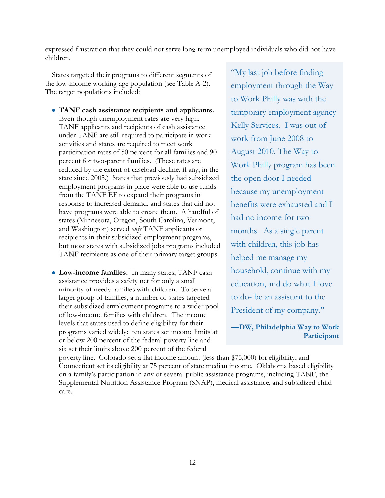expressed frustration that they could not serve long-term unemployed individuals who did not have children.

States targeted their programs to different segments of the low-income working-age population (see Table A-2). The target populations included:

- **TANF cash assistance recipients and applicants.**  Even though unemployment rates are very high, TANF applicants and recipients of cash assistance under TANF are still required to participate in work activities and states are required to meet work participation rates of 50 percent for all families and 90 percent for two-parent families. (These rates are reduced by the extent of caseload decline, if any, in the state since 2005.) States that previously had subsidized employment programs in place were able to use funds from the TANF EF to expand their programs in response to increased demand, and states that did not have programs were able to create them. A handful of states (Minnesota, Oregon, South Carolina, Vermont, and Washington) served *only* TANF applicants or recipients in their subsidized employment programs, but most states with subsidized jobs programs included TANF recipients as one of their primary target groups.
- **Low-income families.** In many states, TANF cash assistance provides a safety net for only a small minority of needy families with children. To serve a larger group of families, a number of states targeted their subsidized employment programs to a wider pool of low-income families with children. The income levels that states used to define eligibility for their programs varied widely: ten states set income limits at or below 200 percent of the federal poverty line and six set their limits above 200 percent of the federal

―My last job before finding employment through the Way to Work Philly was with the temporary employment agency Kelly Services. I was out of work from June 2008 to August 2010. The Way to Work Philly program has been the open door I needed because my unemployment benefits were exhausted and I had no income for two months. As a single parent with children, this job has helped me manage my household, continue with my education, and do what I love to do- be an assistant to the President of my company."

**—DW, Philadelphia Way to Work Participant**

poverty line. Colorado set a flat income amount (less than \$75,000) for eligibility, and Connecticut set its eligibility at 75 percent of state median income. Oklahoma based eligibility on a family's participation in any of several public assistance programs, including TANF, the Supplemental Nutrition Assistance Program (SNAP), medical assistance, and subsidized child care.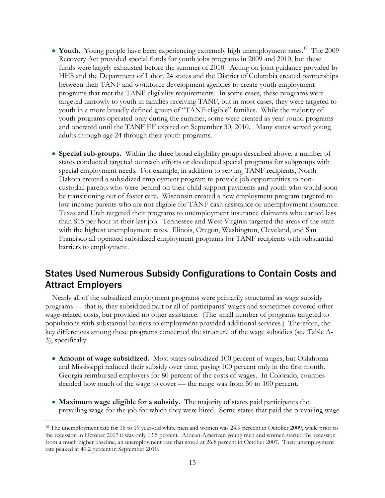- **Youth.** Young people have been experiencing extremely high unemployment rates.<sup>18</sup> The 2009 Recovery Act provided special funds for youth jobs programs in 2009 and 2010, but these funds were largely exhausted before the summer of 2010. Acting on joint guidance provided by HHS and the Department of Labor, 24 states and the District of Columbia created partnerships between their TANF and workforce development agencies to create youth employment programs that met the TANF eligibility requirements. In some cases, these programs were targeted narrowly to youth in families receiving TANF, but in most cases, they were targeted to youth in a more broadly defined group of "TANF-eligible" families. While the majority of youth programs operated only during the summer, some were created as year-round programs and operated until the TANF EF expired on September 30, 2010. Many states served young adults through age 24 through their youth programs.
- **Special sub-groups.** Within the three broad eligibility groups described above, a number of states conducted targeted outreach efforts or developed special programs for subgroups with special employment needs. For example, in addition to serving TANF recipients, North Dakota created a subsidized employment program to provide job opportunities to noncustodial parents who were behind on their child support payments and youth who would soon be transitioning out of foster care. Wisconsin created a new employment program targeted to low-income parents who are not eligible for TANF cash assistance or unemployment insurance. Texas and Utah targeted their programs to unemployment insurance claimants who earned less than \$15 per hour in their last job. Tennessee and West Virginia targeted the areas of the state with the highest unemployment rates. Illinois, Oregon, Washington, Cleveland, and San Francisco all operated subsidized employment programs for TANF recipients with substantial barriers to employment.

# States Used Numerous Subsidy Configurations to Contain Costs and Attract Employers

Nearly all of the subsidized employment programs were primarily structured as wage subsidy programs — that is, they subsidized part or all of participants' wages and sometimes covered other wage-related costs, but provided no other assistance. (The small number of programs targeted to populations with substantial barriers to employment provided additional services.) Therefore, the key differences among these programs concerned the structure of the wage subsidies (see Table A-3), specifically:

- **Amount of wage subsidized.** Most states subsidized 100 percent of wages, but Oklahoma and Mississippi reduced their subsidy over time, paying 100 percent only in the first month. Georgia reimbursed employers for 80 percent of the costs of wages. In Colorado, counties decided how much of the wage to cover — the range was from 50 to 100 percent.
- **Maximum wage eligible for a subsidy.** The majority of states paid participants the prevailing wage for the job for which they were hired. Some states that paid the prevailing wage

<sup>&</sup>lt;sup>18</sup> The unemployment rate for 16 to 19 year-old white men and women was 24.9 percent in October 2009, while prior to the recession in October 2007 it was only 13.5 percent. African-American young men and women started the recession from a much higher baseline, an unemployment rate that stood at 26.8 percent in October 2007. Their unemployment rate peaked at 49.2 percent in September 2010.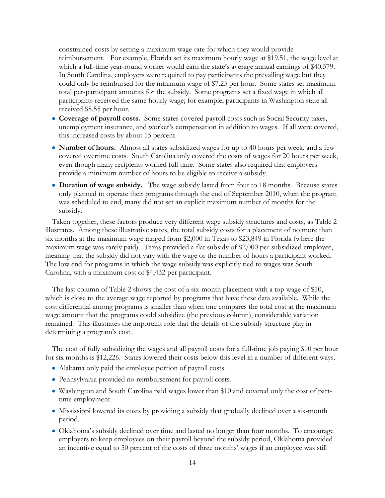constrained costs by setting a maximum wage rate for which they would provide reimbursement. For example, Florida set its maximum hourly wage at \$19.51, the wage level at which a full-time year-round worker would earn the state's average annual earnings of \$40,579. In South Carolina, employers were required to pay participants the prevailing wage but they could only be reimbursed for the minimum wage of \$7.25 per hour. Some states set maximum total per-participant amounts for the subsidy. Some programs set a fixed wage in which all participants received the same hourly wage; for example, participants in Washington state all received \$8.55 per hour.

- Coverage of payroll costs. Some states covered payroll costs such as Social Security taxes, unemployment insurance, and worker's compensation in addition to wages. If all were covered, this increased costs by about 15 percent.
- **Number of hours.** Almost all states subsidized wages for up to 40 hours per week, and a few covered overtime costs. South Carolina only covered the costs of wages for 20 hours per week, even though many recipients worked full time. Some states also required that employers provide a minimum number of hours to be eligible to receive a subsidy.
- **Duration of wage subsidy.** The wage subsidy lasted from four to 18 months. Because states only planned to operate their programs through the end of September 2010, when the program was scheduled to end, many did not set an explicit maximum number of months for the subsidy.

Taken together, these factors produce very different wage subsidy structures and costs, as Table 2 illustrates. Among these illustrative states, the total subsidy costs for a placement of no more than six months at the maximum wage ranged from \$2,000 in Texas to \$23,849 in Florida (where the maximum wage was rarely paid). Texas provided a flat subsidy of \$2,000 per subsidized employee, meaning that the subsidy did not vary with the wage or the number of hours a participant worked. The low end for programs in which the wage subsidy was explicitly tied to wages was South Carolina, with a maximum cost of \$4,432 per participant.

The last column of Table 2 shows the cost of a six-month placement with a top wage of \$10, which is close to the average wage reported by programs that have these data available. While the cost differential among programs is smaller than when one compares the total cost at the maximum wage amount that the programs could subsidize (the previous column), considerable variation remained. This illustrates the important role that the details of the subsidy structure play in determining a program's cost.

The cost of fully subsidizing the wages and all payroll costs for a full-time job paying \$10 per hour for six months is \$12,226. States lowered their costs below this level in a number of different ways.

- Alabama only paid the employee portion of payroll costs.
- Pennsylvania provided no reimbursement for payroll costs.
- Washington and South Carolina paid wages lower than \$10 and covered only the cost of parttime employment.
- Mississippi lowered its costs by providing a subsidy that gradually declined over a six-month period.
- Oklahoma's subsidy declined over time and lasted no longer than four months. To encourage employers to keep employees on their payroll beyond the subsidy period, Oklahoma provided an incentive equal to 50 percent of the costs of three months' wages if an employee was still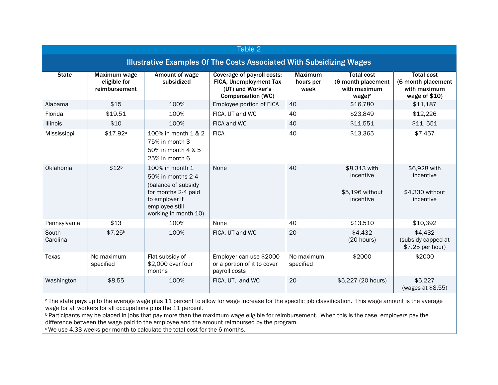| Table 2                                                                     |                                               |                                                                                                                                                |                                                                                                       |                                     |                                                                               |                                                                           |
|-----------------------------------------------------------------------------|-----------------------------------------------|------------------------------------------------------------------------------------------------------------------------------------------------|-------------------------------------------------------------------------------------------------------|-------------------------------------|-------------------------------------------------------------------------------|---------------------------------------------------------------------------|
| <b>Illustrative Examples Of The Costs Associated With Subsidizing Wages</b> |                                               |                                                                                                                                                |                                                                                                       |                                     |                                                                               |                                                                           |
| <b>State</b>                                                                | Maximum wage<br>eligible for<br>reimbursement | Amount of wage<br>subsidized                                                                                                                   | Coverage of payroll costs:<br>FICA, Unemployment Tax<br>(UT) and Worker's<br><b>Compensation (WC)</b> | <b>Maximum</b><br>hours per<br>week | <b>Total cost</b><br>(6 month placement<br>with maximum<br>wage) <sup>c</sup> | <b>Total cost</b><br>(6 month placement<br>with maximum<br>wage of $$10)$ |
| Alabama                                                                     | \$15                                          | 100%                                                                                                                                           | Employee portion of FICA                                                                              | 40                                  | \$16,780                                                                      | \$11,187                                                                  |
| Florida                                                                     | \$19.51                                       | 100%                                                                                                                                           | FICA, UT and WC                                                                                       | 40                                  | \$23,849                                                                      | \$12,226                                                                  |
| Illinois                                                                    | \$10                                          | 100%                                                                                                                                           | FICA and WC                                                                                           | 40                                  | \$11,551                                                                      | \$11,551                                                                  |
| Mississippi                                                                 | \$17.92 <sup>a</sup>                          | 100% in month 1 & 2<br>75% in month 3<br>50% in month 4 & 5<br>25% in month 6                                                                  | <b>FICA</b>                                                                                           | 40                                  | \$13,365                                                                      | \$7,457                                                                   |
| Oklahoma                                                                    | \$12 <sup>b</sup>                             | 100% in month 1<br>50% in months 2-4<br>(balance of subsidy<br>for months 2-4 paid<br>to employer if<br>employee still<br>working in month 10) | None                                                                                                  | 40                                  | \$8,313 with<br>incentive<br>\$5,196 without<br>incentive                     | \$6,928 with<br>incentive<br>\$4,330 without<br>incentive                 |
| Pennsylvania                                                                | \$13                                          | 100%                                                                                                                                           | None                                                                                                  | 40                                  | \$13,510                                                                      | \$10,392                                                                  |
| South<br>Carolina                                                           | \$7.25 <sup>b</sup>                           | 100%                                                                                                                                           | FICA, UT and WC                                                                                       | 20                                  | \$4,432<br>(20 hours)                                                         | \$4,432<br>(subsidy capped at<br>\$7.25 per hour)                         |
| Texas                                                                       | No maximum<br>specified                       | Flat subsidy of<br>\$2,000 over four<br>months                                                                                                 | Employer can use \$2000<br>or a portion of it to cover<br>payroll costs                               | No maximum<br>specified             | \$2000                                                                        | \$2000                                                                    |
| Washington                                                                  | \$8.55                                        | 100%                                                                                                                                           | FICA, UT, and WC                                                                                      | 20                                  | \$5,227 (20 hours)                                                            | \$5,227<br>(wages at \$8.55)                                              |

<sup>a</sup>The state pays up to the average wage plus 11 percent to allow for wage increase for the specific job classification. This wage amount is the average wage for all workers for all occupations plus the 11 percent.

**b** Participants may be placed in jobs that pay more than the maximum wage eligible for reimbursement. When this is the case, employers pay the difference between the wage paid to the employee and the amount reimbursed by the program.

<sup>c</sup>We use 4.33 weeks per month to calculate the total cost for the 6 months.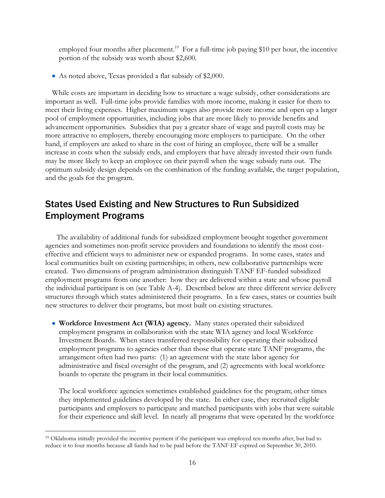employed four months after placement.<sup>19</sup> For a full-time job paying \$10 per hour, the incentive portion of the subsidy was worth about \$2,600.

As noted above, Texas provided a flat subsidy of \$2,000.

While costs are important in deciding how to structure a wage subsidy, other considerations are important as well. Full-time jobs provide families with more income, making it easier for them to meet their living expenses. Higher maximum wages also provide more income and open up a larger pool of employment opportunities, including jobs that are more likely to provide benefits and advancement opportunities. Subsidies that pay a greater share of wage and payroll costs may be more attractive to employers, thereby encouraging more employers to participate. On the other hand, if employers are asked to share in the cost of hiring an employee, there will be a smaller increase in costs when the subsidy ends, and employers that have already invested their own funds may be more likely to keep an employee on their payroll when the wage subsidy runs out. The optimum subsidy design depends on the combination of the funding available, the target population, and the goals for the program.

# States Used Existing and New Structures to Run Subsidized Employment Programs

The availability of additional funds for subsidized employment brought together government agencies and sometimes non-profit service providers and foundations to identify the most costeffective and efficient ways to administer new or expanded programs. In some cases, states and local communities built on existing partnerships; in others, new collaborative partnerships were created. Two dimensions of program administration distinguish TANF EF-funded subsidized employment programs from one another: how they are delivered within a state and whose payroll the individual participant is on (see Table A-4). Described below are three different service delivery structures through which states administered their programs. In a few cases, states or counties built new structures to deliver their programs, but most built on existing structures.

**Workforce Investment Act (WIA) agency.** Many states operated their subsidized employment programs in collaboration with the state WIA agency and local Workforce Investment Boards. When states transferred responsibility for operating their subsidized employment programs to agencies other than those that operate state TANF programs, the arrangement often had two parts: (1) an agreement with the state labor agency for administrative and fiscal oversight of the program, and (2) agreements with local workforce boards to operate the program in their local communities.

The local workforce agencies sometimes established guidelines for the program; other times they implemented guidelines developed by the state. In either case, they recruited eligible participants and employers to participate and matched participants with jobs that were suitable for their experience and skill level. In nearly all programs that were operated by the workforce

<sup>19</sup> Oklahoma initially provided the incentive payment if the participant was employed ten months after, but had to reduce it to four months because all funds had to be paid before the TANF EF expired on September 30, 2010.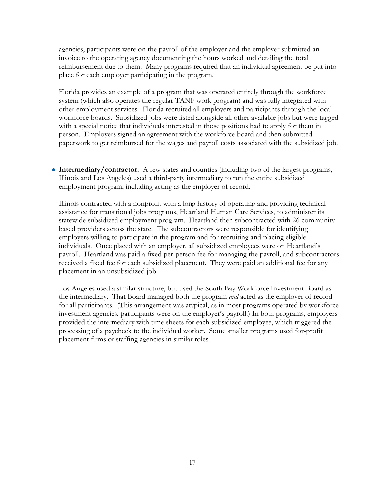agencies, participants were on the payroll of the employer and the employer submitted an invoice to the operating agency documenting the hours worked and detailing the total reimbursement due to them. Many programs required that an individual agreement be put into place for each employer participating in the program.

Florida provides an example of a program that was operated entirely through the workforce system (which also operates the regular TANF work program) and was fully integrated with other employment services. Florida recruited all employers and participants through the local workforce boards. Subsidized jobs were listed alongside all other available jobs but were tagged with a special notice that individuals interested in those positions had to apply for them in person. Employers signed an agreement with the workforce board and then submitted paperwork to get reimbursed for the wages and payroll costs associated with the subsidized job.

• Intermediary/contractor. A few states and counties (including two of the largest programs, Illinois and Los Angeles) used a third-party intermediary to run the entire subsidized employment program, including acting as the employer of record.

Illinois contracted with a nonprofit with a long history of operating and providing technical assistance for transitional jobs programs, Heartland Human Care Services, to administer its statewide subsidized employment program. Heartland then subcontracted with 26 communitybased providers across the state. The subcontractors were responsible for identifying employers willing to participate in the program and for recruiting and placing eligible individuals. Once placed with an employer, all subsidized employees were on Heartland's payroll. Heartland was paid a fixed per-person fee for managing the payroll, and subcontractors received a fixed fee for each subsidized placement. They were paid an additional fee for any placement in an unsubsidized job.

Los Angeles used a similar structure, but used the South Bay Workforce Investment Board as the intermediary. That Board managed both the program *and* acted as the employer of record for all participants. (This arrangement was atypical, as in most programs operated by workforce investment agencies, participants were on the employer's payroll.) In both programs, employers provided the intermediary with time sheets for each subsidized employee, which triggered the processing of a paycheck to the individual worker. Some smaller programs used for-profit placement firms or staffing agencies in similar roles.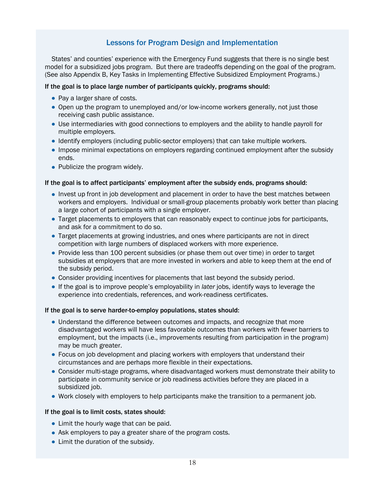### Lessons for Program Design and Implementation

States' and counties' experience with the Emergency Fund suggests that there is no single best model for a subsidized jobs program. But there are tradeoffs depending on the goal of the program. (See also Appendix B, Key Tasks in Implementing Effective Subsidized Employment Programs.)

### If the goal is to place large number of participants quickly, programs should:

- Pay a larger share of costs.
- Open up the program to unemployed and/or low-income workers generally, not just those receiving cash public assistance.
- Use intermediaries with good connections to employers and the ability to handle payroll for multiple employers.
- Identify employers (including public-sector employers) that can take multiple workers.
- Impose minimal expectations on employers regarding continued employment after the subsidy ends.
- Publicize the program widely.

#### If the goal is to affect participants' employment after the subsidy ends, programs should:

- Invest up front in job development and placement in order to have the best matches between workers and employers. Individual or small-group placements probably work better than placing a large cohort of participants with a single employer.
- Target placements to employers that can reasonably expect to continue jobs for participants, and ask for a commitment to do so.
- Target placements at growing industries, and ones where participants are not in direct competition with large numbers of displaced workers with more experience.
- Provide less than 100 percent subsidies (or phase them out over time) in order to target subsidies at employers that are more invested in workers and able to keep them at the end of the subsidy period.
- Consider providing incentives for placements that last beyond the subsidy period.
- If the goal is to improve people's employability in *later* jobs, identify ways to leverage the experience into credentials, references, and work-readiness certificates.

#### If the goal is to serve harder-to-employ populations, states should:

- Understand the difference between outcomes and impacts, and recognize that more disadvantaged workers will have less favorable outcomes than workers with fewer barriers to employment, but the impacts (i.e., improvements resulting from participation in the program) may be much greater.
- Focus on job development and placing workers with employers that understand their circumstances and are perhaps more flexible in their expectations.
- Consider multi-stage programs, where disadvantaged workers must demonstrate their ability to participate in community service or job readiness activities before they are placed in a subsidized job.
- Work closely with employers to help participants make the transition to a permanent job.

#### If the goal is to limit costs, states should:

- Limit the hourly wage that can be paid.
- Ask employers to pay a greater share of the program costs.
- Limit the duration of the subsidy.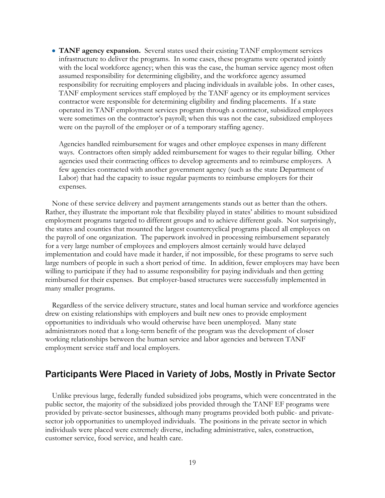**TANF agency expansion.** Several states used their existing TANF employment services infrastructure to deliver the programs. In some cases, these programs were operated jointly with the local workforce agency; when this was the case, the human service agency most often assumed responsibility for determining eligibility, and the workforce agency assumed responsibility for recruiting employers and placing individuals in available jobs. In other cases, TANF employment services staff employed by the TANF agency or its employment services contractor were responsible for determining eligibility and finding placements. If a state operated its TANF employment services program through a contractor, subsidized employees were sometimes on the contractor's payroll; when this was not the case, subsidized employees were on the payroll of the employer or of a temporary staffing agency.

Agencies handled reimbursement for wages and other employee expenses in many different ways. Contractors often simply added reimbursement for wages to their regular billing. Other agencies used their contracting offices to develop agreements and to reimburse employers. A few agencies contracted with another government agency (such as the state Department of Labor) that had the capacity to issue regular payments to reimburse employers for their expenses.

None of these service delivery and payment arrangements stands out as better than the others. Rather, they illustrate the important role that flexibility played in states' abilities to mount subsidized employment programs targeted to different groups and to achieve different goals. Not surprisingly, the states and counties that mounted the largest countercyclical programs placed all employees on the payroll of one organization. The paperwork involved in processing reimbursement separately for a very large number of employees and employers almost certainly would have delayed implementation and could have made it harder, if not impossible, for these programs to serve such large numbers of people in such a short period of time. In addition, fewer employers may have been willing to participate if they had to assume responsibility for paying individuals and then getting reimbursed for their expenses. But employer-based structures were successfully implemented in many smaller programs.

Regardless of the service delivery structure, states and local human service and workforce agencies drew on existing relationships with employers and built new ones to provide employment opportunities to individuals who would otherwise have been unemployed. Many state administrators noted that a long-term benefit of the program was the development of closer working relationships between the human service and labor agencies and between TANF employment service staff and local employers.

### Participants Were Placed in Variety of Jobs, Mostly in Private Sector

Unlike previous large, federally funded subsidized jobs programs, which were concentrated in the public sector, the majority of the subsidized jobs provided through the TANF EF programs were provided by private-sector businesses, although many programs provided both public- and privatesector job opportunities to unemployed individuals. The positions in the private sector in which individuals were placed were extremely diverse, including administrative, sales, construction, customer service, food service, and health care.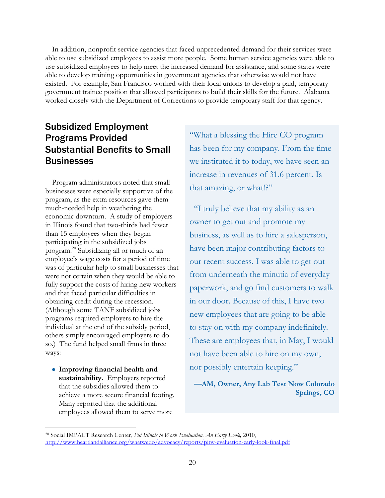In addition, nonprofit service agencies that faced unprecedented demand for their services were able to use subsidized employees to assist more people. Some human service agencies were able to use subsidized employees to help meet the increased demand for assistance, and some states were able to develop training opportunities in government agencies that otherwise would not have existed. For example, San Francisco worked with their local unions to develop a paid, temporary government trainee position that allowed participants to build their skills for the future. Alabama worked closely with the Department of Corrections to provide temporary staff for that agency.

# Subsidized Employment Programs Provided Substantial Benefits to Small **Businesses**

Program administrators noted that small businesses were especially supportive of the program, as the extra resources gave them much-needed help in weathering the economic downturn. A study of employers in Illinois found that two-thirds had fewer than 15 employees when they began participating in the subsidized jobs program.<sup>20</sup> Subsidizing all or much of an employee's wage costs for a period of time was of particular help to small businesses that were not certain when they would be able to fully support the costs of hiring new workers and that faced particular difficulties in obtaining credit during the recession. (Although some TANF subsidized jobs programs required employers to hire the individual at the end of the subsidy period, others simply encouraged employers to do so.) The fund helped small firms in three ways:

**Improving financial health and sustainability.** Employers reported that the subsidies allowed them to achieve a more secure financial footing. Many reported that the additional employees allowed them to serve more

 $\overline{a}$ 

―What a blessing the Hire CO program has been for my company. From the time we instituted it to today, we have seen an increase in revenues of 31.6 percent. Is that amazing, or what!?"

 ―I truly believe that my ability as an owner to get out and promote my business, as well as to hire a salesperson, have been major contributing factors to our recent success. I was able to get out from underneath the minutia of everyday paperwork, and go find customers to walk in our door. Because of this, I have two new employees that are going to be able to stay on with my company indefinitely. These are employees that, in May, I would not have been able to hire on my own, nor possibly entertain keeping."

**—AM, Owner, Any Lab Test Now Colorado Springs, CO**

<sup>20</sup> Social IMPACT Research Center, *Put Illinois to Work Evaluation. An Early Look,* 2010, <http://www.heartlandalliance.org/whatwedo/advocacy/reports/pitw-evaluation-early-look-final.pdf>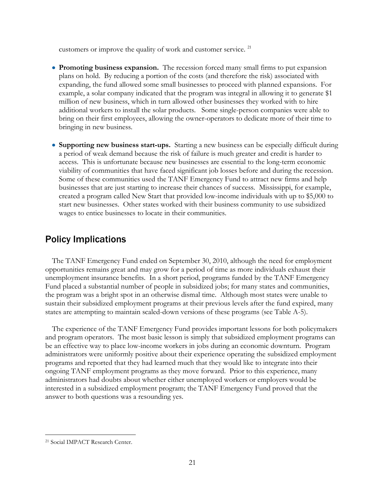customers or improve the quality of work and customer service.<sup>21</sup>

- **Promoting business expansion.** The recession forced many small firms to put expansion plans on hold. By reducing a portion of the costs (and therefore the risk) associated with expanding, the fund allowed some small businesses to proceed with planned expansions. For example, a solar company indicated that the program was integral in allowing it to generate \$1 million of new business, which in turn allowed other businesses they worked with to hire additional workers to install the solar products. Some single-person companies were able to bring on their first employees, allowing the owner-operators to dedicate more of their time to bringing in new business.
- **Supporting new business start-ups.** Starting a new business can be especially difficult during a period of weak demand because the risk of failure is much greater and credit is harder to access. This is unfortunate because new businesses are essential to the long-term economic viability of communities that have faced significant job losses before and during the recession. Some of these communities used the TANF Emergency Fund to attract new firms and help businesses that are just starting to increase their chances of success. Mississippi, for example, created a program called New Start that provided low-income individuals with up to \$5,000 to start new businesses. Other states worked with their business community to use subsidized wages to entice businesses to locate in their communities.

# Policy Implications

The TANF Emergency Fund ended on September 30, 2010, although the need for employment opportunities remains great and may grow for a period of time as more individuals exhaust their unemployment insurance benefits. In a short period, programs funded by the TANF Emergency Fund placed a substantial number of people in subsidized jobs; for many states and communities, the program was a bright spot in an otherwise dismal time. Although most states were unable to sustain their subsidized employment programs at their previous levels after the fund expired, many states are attempting to maintain scaled-down versions of these programs (see Table A-5).

The experience of the TANF Emergency Fund provides important lessons for both policymakers and program operators. The most basic lesson is simply that subsidized employment programs can be an effective way to place low-income workers in jobs during an economic downturn. Program administrators were uniformly positive about their experience operating the subsidized employment programs and reported that they had learned much that they would like to integrate into their ongoing TANF employment programs as they move forward. Prior to this experience, many administrators had doubts about whether either unemployed workers or employers would be interested in a subsidized employment program; the TANF Emergency Fund proved that the answer to both questions was a resounding yes.

<sup>21</sup> Social IMPACT Research Center.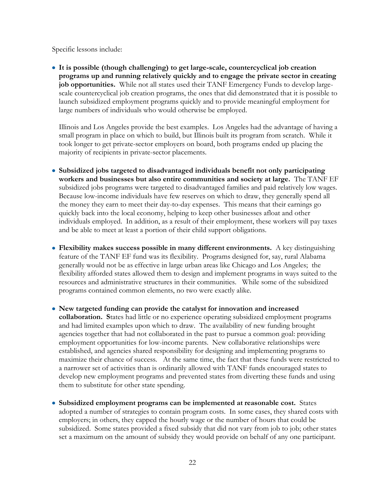Specific lessons include:

**It is possible (though challenging) to get large-scale, countercyclical job creation programs up and running relatively quickly and to engage the private sector in creating job opportunities.** While not all states used their TANF Emergency Funds to develop largescale countercyclical job creation programs, the ones that did demonstrated that it is possible to launch subsidized employment programs quickly and to provide meaningful employment for large numbers of individuals who would otherwise be employed.

Illinois and Los Angeles provide the best examples. Los Angeles had the advantage of having a small program in place on which to build, but Illinois built its program from scratch. While it took longer to get private-sector employers on board, both programs ended up placing the majority of recipients in private-sector placements.

- **Subsidized jobs targeted to disadvantaged individuals benefit not only participating workers and businesses but also entire communities and society at large.** The TANF EF subsidized jobs programs were targeted to disadvantaged families and paid relatively low wages. Because low-income individuals have few reserves on which to draw, they generally spend all the money they earn to meet their day-to-day expenses. This means that their earnings go quickly back into the local economy, helping to keep other businesses afloat and other individuals employed. In addition, as a result of their employment, these workers will pay taxes and be able to meet at least a portion of their child support obligations.
- **Flexibility makes success possible in many different environments.** A key distinguishing feature of the TANF EF fund was its flexibility. Programs designed for, say, rural Alabama generally would not be as effective in large urban areas like Chicago and Los Angeles; the flexibility afforded states allowed them to design and implement programs in ways suited to the resources and administrative structures in their communities. While some of the subsidized programs contained common elements, no two were exactly alike.
- **New targeted funding can provide the catalyst for innovation and increased collaboration. S**tates had little or no experience operating subsidized employment programs and had limited examples upon which to draw. The availability of new funding brought agencies together that had not collaborated in the past to pursue a common goal: providing employment opportunities for low-income parents. New collaborative relationships were established, and agencies shared responsibility for designing and implementing programs to maximize their chance of success. At the same time, the fact that these funds were restricted to a narrower set of activities than is ordinarily allowed with TANF funds encouraged states to develop new employment programs and prevented states from diverting these funds and using them to substitute for other state spending.
- **Subsidized employment programs can be implemented at reasonable cost.** States adopted a number of strategies to contain program costs. In some cases, they shared costs with employers; in others, they capped the hourly wage or the number of hours that could be subsidized. Some states provided a fixed subsidy that did not vary from job to job; other states set a maximum on the amount of subsidy they would provide on behalf of any one participant.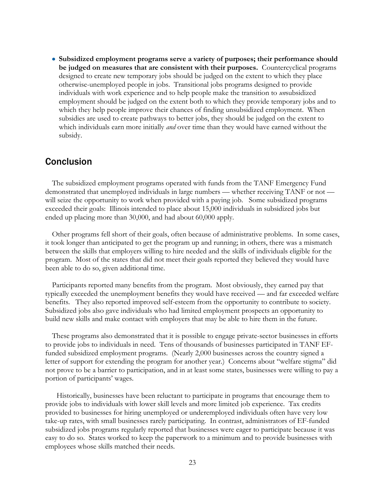**Subsidized employment programs serve a variety of purposes; their performance should be judged on measures that are consistent with their purposes.** Countercyclical programs designed to create new temporary jobs should be judged on the extent to which they place otherwise-unemployed people in jobs. Transitional jobs programs designed to provide individuals with work experience and to help people make the transition to *un*subsidized employment should be judged on the extent both to which they provide temporary jobs and to which they help people improve their chances of finding unsubsidized employment. When subsidies are used to create pathways to better jobs, they should be judged on the extent to which individuals earn more initially *and* over time than they would have earned without the subsidy.

### Conclusion

The subsidized employment programs operated with funds from the TANF Emergency Fund demonstrated that unemployed individuals in large numbers — whether receiving TANF or not will seize the opportunity to work when provided with a paying job. Some subsidized programs exceeded their goals: Illinois intended to place about 15,000 individuals in subsidized jobs but ended up placing more than 30,000, and had about 60,000 apply.

Other programs fell short of their goals, often because of administrative problems. In some cases, it took longer than anticipated to get the program up and running; in others, there was a mismatch between the skills that employers willing to hire needed and the skills of individuals eligible for the program. Most of the states that did not meet their goals reported they believed they would have been able to do so, given additional time.

Participants reported many benefits from the program. Most obviously, they earned pay that typically exceeded the unemployment benefits they would have received — and far exceeded welfare benefits. They also reported improved self-esteem from the opportunity to contribute to society. Subsidized jobs also gave individuals who had limited employment prospects an opportunity to build new skills and make contact with employers that may be able to hire them in the future.

These programs also demonstrated that it is possible to engage private-sector businesses in efforts to provide jobs to individuals in need.Tens of thousands of businesses participated in TANF EFfunded subsidized employment programs. (Nearly 2,000 businesses across the country signed a letter of support for extending the program for another year.) Concerns about "welfare stigma" did not prove to be a barrier to participation, and in at least some states, businesses were willing to pay a portion of participants' wages.

Historically, businesses have been reluctant to participate in programs that encourage them to provide jobs to individuals with lower skill levels and more limited job experience. Tax credits provided to businesses for hiring unemployed or underemployed individuals often have very low take-up rates, with small businesses rarely participating. In contrast, administrators of EF-funded subsidized jobs programs regularly reported that businesses were eager to participate because it was easy to do so. States worked to keep the paperwork to a minimum and to provide businesses with employees whose skills matched their needs.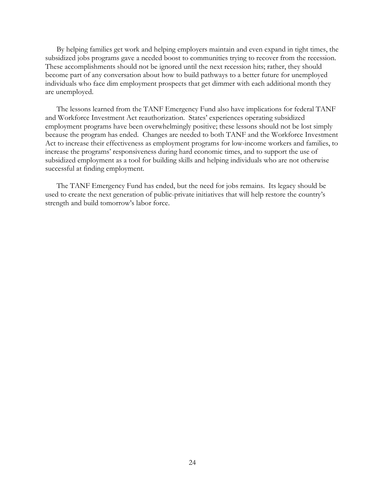By helping families get work and helping employers maintain and even expand in tight times, the subsidized jobs programs gave a needed boost to communities trying to recover from the recession. These accomplishments should not be ignored until the next recession hits; rather, they should become part of any conversation about how to build pathways to a better future for unemployed individuals who face dim employment prospects that get dimmer with each additional month they are unemployed.

The lessons learned from the TANF Emergency Fund also have implications for federal TANF and Workforce Investment Act reauthorization. States' experiences operating subsidized employment programs have been overwhelmingly positive; these lessons should not be lost simply because the program has ended. Changes are needed to both TANF and the Workforce Investment Act to increase their effectiveness as employment programs for low-income workers and families, to increase the programs' responsiveness during hard economic times, and to support the use of subsidized employment as a tool for building skills and helping individuals who are not otherwise successful at finding employment.

The TANF Emergency Fund has ended, but the need for jobs remains. Its legacy should be used to create the next generation of public-private initiatives that will help restore the country's strength and build tomorrow's labor force.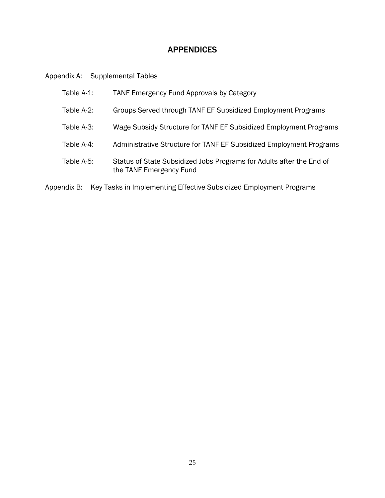### APPENDICES

Appendix A: Supplemental Tables

| Table A-1: | <b>TANF Emergency Fund Approvals by Category</b>                                                |
|------------|-------------------------------------------------------------------------------------------------|
| Table A-2: | Groups Served through TANF EF Subsidized Employment Programs                                    |
| Table A-3: | Wage Subsidy Structure for TANF EF Subsidized Employment Programs                               |
| Table A-4: | Administrative Structure for TANF EF Subsidized Employment Programs                             |
| Table A-5: | Status of State Subsidized Jobs Programs for Adults after the End of<br>the TANF Emergency Fund |

Appendix B: Key Tasks in Implementing Effective Subsidized Employment Programs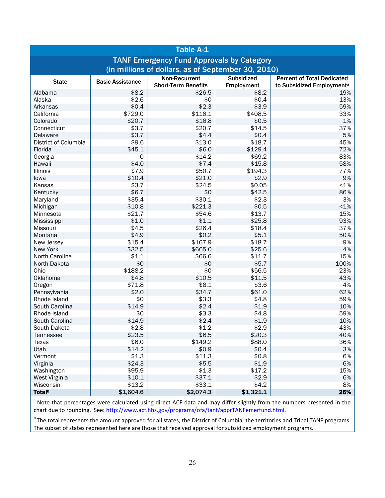| <b>Table A-1</b>                                   |                                                  |                            |                   |                                       |  |
|----------------------------------------------------|--------------------------------------------------|----------------------------|-------------------|---------------------------------------|--|
|                                                    | <b>TANF Emergency Fund Approvals by Category</b> |                            |                   |                                       |  |
| (in millions of dollars, as of September 30, 2010) |                                                  |                            |                   |                                       |  |
| <b>State</b>                                       | <b>Basic Assistance</b>                          | Non-Recurrent              | <b>Subsidized</b> | <b>Percent of Total Dedicated</b>     |  |
|                                                    |                                                  | <b>Short-Term Benefits</b> | Employment        | to Subsidized Employment <sup>a</sup> |  |
| Alabama                                            | \$8.2                                            | \$26.5                     | \$8.2             | 19%                                   |  |
| Alaska                                             | \$2.6                                            | \$0                        | \$0.4             | 13%                                   |  |
| Arkansas                                           | \$0.4                                            | \$2.3                      | \$3.9             | 59%                                   |  |
| California                                         | \$729.0                                          | \$116.1                    | \$408.5           | 33%                                   |  |
| Colorado                                           | \$20.7<br>\$3.7                                  | \$16.8                     | \$0.5<br>\$14.5   | 1%<br>37%                             |  |
| Connecticut                                        |                                                  | \$20.7                     |                   |                                       |  |
| Delaware<br>District of Columbia                   | \$3.7                                            | \$4.4<br>\$13.0            | \$0.4             | 5%                                    |  |
|                                                    | \$9.6                                            |                            | \$18.7            | 45%                                   |  |
| Florida                                            | \$45.1                                           | \$6.0                      | \$129.4           | 72%                                   |  |
| Georgia                                            | 0                                                | \$14.2<br>\$7.4            | \$69.2            | 83%<br>58%                            |  |
| Hawaii                                             | \$4.0                                            |                            | \$15.8            |                                       |  |
| Illinois                                           | \$7.9                                            | \$50.7                     | \$194.3           | 77%                                   |  |
| lowa                                               | \$10.4                                           | \$21.0                     | \$2.9             | 9%                                    |  |
| Kansas                                             | \$3.7                                            | \$24.5                     | \$0.05            | $< 1\%$                               |  |
| Kentucky                                           | \$6.7                                            | \$0                        | \$42.5            | 86%                                   |  |
| Maryland                                           | \$35.4                                           | \$30.1                     | \$2.3             | 3%                                    |  |
| Michigan                                           | \$10.8                                           | \$221.3                    | \$0.5             | $< 1\%$                               |  |
| Minnesota                                          | \$21.7                                           | \$54.6                     | \$13.7            | 15%                                   |  |
| Mississippi                                        | \$1.0                                            | \$1.1                      | \$25.8            | 93%                                   |  |
| Missouri                                           | \$4.5                                            | \$26.4                     | \$18.4            | 37%                                   |  |
| Montana                                            | \$4.9                                            | \$0.2                      | \$5.1             | 50%                                   |  |
| New Jersey                                         | \$15.4                                           | \$167.9                    | \$18.7            | 9%                                    |  |
| New York                                           | \$32.5                                           | \$665.0                    | \$25.6            | 4%                                    |  |
| North Carolina                                     | \$1.1                                            | \$66.6                     | \$11.7            | 15%                                   |  |
| North Dakota                                       | \$0                                              | \$0                        | \$5.7             | 100%                                  |  |
| Ohio                                               | \$188.2                                          | \$0                        | \$56.5            | 23%                                   |  |
| Oklahoma                                           | \$4.8                                            | \$10.5                     | \$11.5            | 43%                                   |  |
| Oregon                                             | \$71.8                                           | \$8.1                      | \$3.6             | 4%                                    |  |
| Pennsylvania<br>Rhode Island                       | \$2.0                                            | \$34.7<br>\$3.3            | \$61.0            | 62%                                   |  |
|                                                    | \$0<br>\$14.9                                    | \$2.4                      | \$4.8             | 59%<br>10%                            |  |
| South Carolina                                     |                                                  |                            | \$1.9             |                                       |  |
| Rhode Island                                       | \$0                                              | \$3.3                      | \$4.8             | 59%                                   |  |
| South Carolina                                     | \$14.9                                           | \$2.4                      | \$1.9             | 10%                                   |  |
| South Dakota                                       | \$2.8<br>\$23.5                                  | \$1.2                      | \$2.9             | 43%                                   |  |
| Tennessee<br>Texas                                 |                                                  | \$6.5                      | \$20.3<br>\$88.0  | 40%                                   |  |
|                                                    | \$6.0                                            | \$149.2                    | \$0.4             | 36%                                   |  |
| Utah                                               | \$14.2                                           | \$0.9                      |                   | 3%                                    |  |
| Vermont                                            | \$1.3                                            | \$11.3<br>\$5.5            | \$0.8<br>\$1.9    | 6%                                    |  |
| Virginia                                           | \$24.3<br>\$95.9                                 | \$1.3                      |                   | 6%                                    |  |
| Washington                                         |                                                  |                            | \$17.2            | 15%                                   |  |
| West Virginia                                      | \$10.1<br>\$13.2                                 | \$37.1<br>\$33.1           | \$2.9<br>\$4.2    | 6%<br>8%                              |  |
| Wisconsin                                          |                                                  |                            |                   |                                       |  |
| <b>Total</b> b                                     | \$1,604.6                                        | \$2,074.3                  | \$1,321.1         | 26%                                   |  |

<sup>a</sup> Note that percentages were calculated using direct ACF data and may differ slightly from the numbers presented in the chart due to rounding. See: [http://www.acf.hhs.gov/programs/ofa/tanf/apprTANFemerfund.html.](http://www.acf.hhs.gov/programs/ofa/tanf/apprTANFemerfund.html)

<sup>b</sup>The total represents the amount approved for all states, the District of Columbia, the territories and Tribal TANF programs. The subset of states represented here are those that received approval for subsidized employment programs.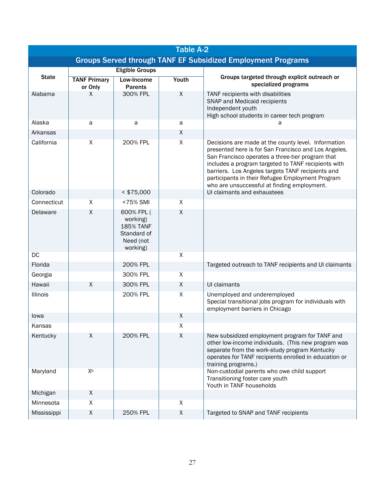| <b>Table A-2</b>                                                    |                                |                                                                                    |              |                                                                                                                                                                                                                                                                                                                                                                                |
|---------------------------------------------------------------------|--------------------------------|------------------------------------------------------------------------------------|--------------|--------------------------------------------------------------------------------------------------------------------------------------------------------------------------------------------------------------------------------------------------------------------------------------------------------------------------------------------------------------------------------|
| <b>Groups Served through TANF EF Subsidized Employment Programs</b> |                                |                                                                                    |              |                                                                                                                                                                                                                                                                                                                                                                                |
|                                                                     |                                | <b>Eligible Groups</b>                                                             |              |                                                                                                                                                                                                                                                                                                                                                                                |
| <b>State</b>                                                        | <b>TANF Primary</b><br>or Only | Low-Income<br><b>Parents</b>                                                       | Youth        | Groups targeted through explicit outreach or<br>specialized programs                                                                                                                                                                                                                                                                                                           |
| Alabama                                                             | X                              | 300% FPL                                                                           | X            | TANF recipients with disabilities<br>SNAP and Medicaid recipients<br>Independent youth<br>High school students in career tech program                                                                                                                                                                                                                                          |
| Alaska<br>Arkansas                                                  | a                              | a                                                                                  | a<br>X       | а                                                                                                                                                                                                                                                                                                                                                                              |
| California                                                          | $\pmb{\chi}$                   | 200% FPL                                                                           | X            | Decisions are made at the county level. Information<br>presented here is for San Francisco and Los Angeles.<br>San Francisco operates a three-tier program that<br>includes a program targeted to TANF recipients with<br>barriers. Los Angeles targets TANF recipients and<br>participants in their Refugee Employment Program<br>who are unsuccessful at finding employment. |
| Colorado                                                            |                                | $<$ \$75,000                                                                       |              | UI claimants and exhaustees                                                                                                                                                                                                                                                                                                                                                    |
| Connecticut                                                         | $\pmb{\mathsf{X}}$             | <75% SMI                                                                           | X            |                                                                                                                                                                                                                                                                                                                                                                                |
| Delaware                                                            | $\sf X$                        | 600% FPL (<br>working)<br><b>185% TANF</b><br>Standard of<br>Need (not<br>working) | $\mathsf{X}$ |                                                                                                                                                                                                                                                                                                                                                                                |
| DC                                                                  |                                |                                                                                    | $\mathsf{X}$ |                                                                                                                                                                                                                                                                                                                                                                                |
| Florida                                                             |                                | 200% FPL                                                                           |              | Targeted outreach to TANF recipients and UI claimants                                                                                                                                                                                                                                                                                                                          |
| Georgia                                                             |                                | 300% FPL                                                                           | X            |                                                                                                                                                                                                                                                                                                                                                                                |
| Hawaii                                                              | Χ                              | 300% FPL                                                                           | X            | UI claimants                                                                                                                                                                                                                                                                                                                                                                   |
| Illinois                                                            |                                | 200% FPL                                                                           | X            | Unemployed and underemployed<br>Special transitional jobs program for individuals with<br>employment barriers in Chicago                                                                                                                                                                                                                                                       |
| lowa                                                                |                                |                                                                                    | X            |                                                                                                                                                                                                                                                                                                                                                                                |
| Kansas                                                              |                                |                                                                                    | Χ            |                                                                                                                                                                                                                                                                                                                                                                                |
| Kentucky                                                            | X                              | 200% FPL                                                                           | X            | New subsidized employment program for TANF and<br>other low-income individuals. (This new program was<br>separate from the work-study program Kentucky<br>operates for TANF recipients enrolled in education or<br>training programs.)                                                                                                                                         |
| Maryland                                                            | Xb                             |                                                                                    |              | Non-custodial parents who owe child support<br>Transitioning foster care youth<br>Youth in TANF households                                                                                                                                                                                                                                                                     |
| Michigan                                                            | X                              |                                                                                    |              |                                                                                                                                                                                                                                                                                                                                                                                |
| Minnesota                                                           | Χ                              |                                                                                    | X            |                                                                                                                                                                                                                                                                                                                                                                                |
| Mississippi                                                         | Χ                              | 250% FPL                                                                           | X            | Targeted to SNAP and TANF recipients                                                                                                                                                                                                                                                                                                                                           |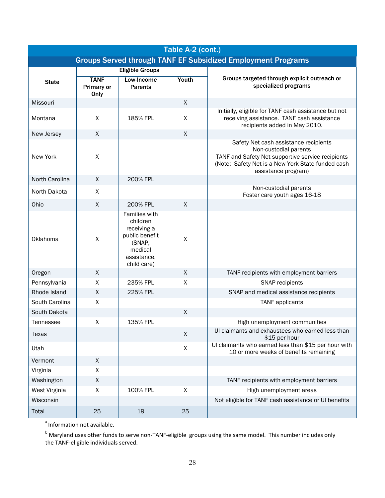| Table A-2 (cont.) |                                                                     |                                                                                                               |                    |                                                                                                                                                                                                 |
|-------------------|---------------------------------------------------------------------|---------------------------------------------------------------------------------------------------------------|--------------------|-------------------------------------------------------------------------------------------------------------------------------------------------------------------------------------------------|
|                   | <b>Groups Served through TANF EF Subsidized Employment Programs</b> |                                                                                                               |                    |                                                                                                                                                                                                 |
|                   |                                                                     | <b>Eligible Groups</b>                                                                                        |                    |                                                                                                                                                                                                 |
| <b>State</b>      | <b>TANF</b><br>Primary or<br>Only                                   | Low-Income<br><b>Parents</b>                                                                                  | Youth              | Groups targeted through explicit outreach or<br>specialized programs                                                                                                                            |
| Missouri          |                                                                     |                                                                                                               | $\mathsf{X}$       |                                                                                                                                                                                                 |
| Montana           | X                                                                   | 185% FPL                                                                                                      | X                  | Initially, eligible for TANF cash assistance but not<br>receiving assistance. TANF cash assistance<br>recipients added in May 2010.                                                             |
| New Jersey        | X                                                                   |                                                                                                               | $\mathsf X$        |                                                                                                                                                                                                 |
| New York          | X                                                                   |                                                                                                               |                    | Safety Net cash assistance recipients<br>Non-custodial parents<br>TANF and Safety Net supportive service recipients<br>(Note: Safety Net is a New York State-funded cash<br>assistance program) |
| North Carolina    | X                                                                   | 200% FPL                                                                                                      |                    |                                                                                                                                                                                                 |
| North Dakota      | X                                                                   |                                                                                                               |                    | Non-custodial parents<br>Foster care youth ages 16-18                                                                                                                                           |
| Ohio              | X                                                                   | 200% FPL                                                                                                      | $\mathsf{X}$       |                                                                                                                                                                                                 |
| Oklahoma          | X                                                                   | Families with<br>children<br>receiving a<br>public benefit<br>(SNAP,<br>medical<br>assistance,<br>child care) | $\pmb{\mathsf{X}}$ |                                                                                                                                                                                                 |
| Oregon            | X                                                                   |                                                                                                               | X                  | TANF recipients with employment barriers                                                                                                                                                        |
| Pennsylvania      | X                                                                   | 235% FPL                                                                                                      | X                  | SNAP recipients                                                                                                                                                                                 |
| Rhode Island      | X                                                                   | 225% FPL                                                                                                      |                    | SNAP and medical assistance recipients                                                                                                                                                          |
| South Carolina    | X                                                                   |                                                                                                               |                    | <b>TANF</b> applicants                                                                                                                                                                          |
| South Dakota      |                                                                     |                                                                                                               | X                  |                                                                                                                                                                                                 |
| Tennessee         | X                                                                   | 135% FPL                                                                                                      |                    | High unemployment communities                                                                                                                                                                   |
| <b>Texas</b>      |                                                                     |                                                                                                               | $\mathsf{X}$       | UI claimants and exhaustees who earned less than<br>\$15 per hour                                                                                                                               |
| Utah              |                                                                     |                                                                                                               | $\mathsf{X}$       | Ul claimants who earned less than \$15 per hour with<br>10 or more weeks of benefits remaining                                                                                                  |
| Vermont           | X                                                                   |                                                                                                               |                    |                                                                                                                                                                                                 |
| Virginia          | X                                                                   |                                                                                                               |                    |                                                                                                                                                                                                 |
| Washington        | Χ                                                                   |                                                                                                               |                    | TANF recipients with employment barriers                                                                                                                                                        |
| West Virginia     | $\pmb{\mathsf{X}}$                                                  | 100% FPL                                                                                                      | X                  | High unemployment areas                                                                                                                                                                         |
| Wisconsin         |                                                                     |                                                                                                               |                    | Not eligible for TANF cash assistance or UI benefits                                                                                                                                            |
| Total             | 25                                                                  | 19                                                                                                            | 25                 |                                                                                                                                                                                                 |

 $a$ Information not available.

<sup>b</sup> Maryland uses other funds to serve non-TANF-eligible groups using the same model. This number includes only the TANF-eligible individuals served.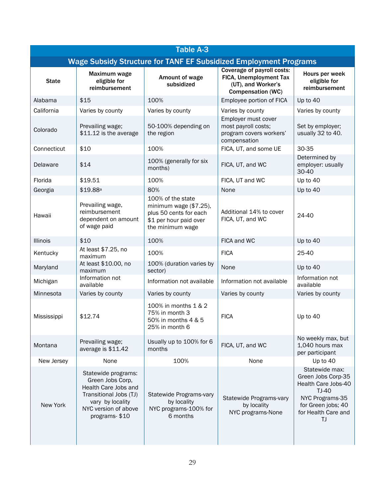| <b>Table A-3</b> |                                                                                                                                                        |                                                                                                                     |                                                                                                        |                                                                                                                                              |  |
|------------------|--------------------------------------------------------------------------------------------------------------------------------------------------------|---------------------------------------------------------------------------------------------------------------------|--------------------------------------------------------------------------------------------------------|----------------------------------------------------------------------------------------------------------------------------------------------|--|
|                  | Wage Subsidy Structure for TANF EF Subsidized Employment Programs                                                                                      |                                                                                                                     |                                                                                                        |                                                                                                                                              |  |
| <b>State</b>     | Maximum wage<br>eligible for<br>reimbursement                                                                                                          | Amount of wage<br>subsidized                                                                                        | Coverage of payroll costs:<br>FICA, Unemployment Tax<br>(UT), and Worker's<br><b>Compensation (WC)</b> | Hours per week<br>eligible for<br>reimbursement                                                                                              |  |
| Alabama          | \$15                                                                                                                                                   | 100%                                                                                                                | Employee portion of FICA                                                                               | Up to 40                                                                                                                                     |  |
| California       | Varies by county                                                                                                                                       | Varies by county                                                                                                    | Varies by county                                                                                       | Varies by county                                                                                                                             |  |
| Colorado         | Prevailing wage;<br>\$11.12 is the average                                                                                                             | 50-100% depending on<br>the region                                                                                  | Employer must cover<br>most payroll costs;<br>program covers workers'<br>compensation                  | Set by employer;<br>usually 32 to 40.                                                                                                        |  |
| Connecticut      | \$10                                                                                                                                                   | 100%                                                                                                                | FICA, UT, and some UE                                                                                  | 30-35                                                                                                                                        |  |
| Delaware         | \$14                                                                                                                                                   | 100% (generally for six<br>months)                                                                                  | FICA, UT, and WC                                                                                       | Determined by<br>employer: usually<br>30-40                                                                                                  |  |
| Florida          | \$19.51                                                                                                                                                | 100%                                                                                                                | FICA, UT and WC                                                                                        | Up to 40                                                                                                                                     |  |
| Georgia          | $$19.88$ <sup>a</sup>                                                                                                                                  | 80%                                                                                                                 | None                                                                                                   | Up to 40                                                                                                                                     |  |
| Hawaii           | Prevailing wage,<br>reimbursement<br>dependent on amount<br>of wage paid                                                                               | 100% of the state<br>minimum wage (\$7.25),<br>plus 50 cents for each<br>\$1 per hour paid over<br>the minimum wage | Additional 14% to cover<br>FICA, UT, and WC                                                            | 24-40                                                                                                                                        |  |
| <b>Illinois</b>  | \$10                                                                                                                                                   | 100%                                                                                                                | FICA and WC                                                                                            | Up to 40                                                                                                                                     |  |
| Kentucky         | At least \$7.25, no<br>maximum                                                                                                                         | 100%                                                                                                                | <b>FICA</b>                                                                                            | 25-40                                                                                                                                        |  |
| Maryland         | At least \$10.00, no<br>maximum                                                                                                                        | 100% (duration varies by<br>sector)                                                                                 | None                                                                                                   | Up to 40                                                                                                                                     |  |
| Michigan         | Information not<br>available                                                                                                                           | Information not available                                                                                           | Information not available                                                                              | Information not<br>available                                                                                                                 |  |
| Minnesota        | Varies by county                                                                                                                                       | Varies by county                                                                                                    | Varies by county                                                                                       | Varies by county                                                                                                                             |  |
| Mississippi      | \$12.74                                                                                                                                                | 100% in months 1 & 2<br>75% in month 3<br>50% in months 4 & 5<br>25% in month 6                                     | <b>FICA</b>                                                                                            | Up to 40                                                                                                                                     |  |
| Montana          | Prevailing wage;<br>average is \$11.42                                                                                                                 | Usually up to 100% for 6<br>months                                                                                  | FICA, UT, and WC                                                                                       | No weekly max, but<br>1,040 hours max<br>per participant                                                                                     |  |
| New Jersey       | None                                                                                                                                                   | 100%                                                                                                                | None                                                                                                   | Up to 40                                                                                                                                     |  |
| New York         | Statewide programs:<br>Green Jobs Corp,<br>Health Care Jobs and<br>Transitional Jobs (TJ)<br>vary by locality<br>NYC version of above<br>programs-\$10 | Statewide Programs-vary<br>by locality<br>NYC programs-100% for<br>6 months                                         | Statewide Programs-vary<br>by locality<br>NYC programs-None                                            | Statewide max:<br>Green Jobs Corp-35<br>Health Care Jobs-40<br>$TJ-40$<br>NYC Programs-35<br>for Green jobs; 40<br>for Health Care and<br>ΤJ |  |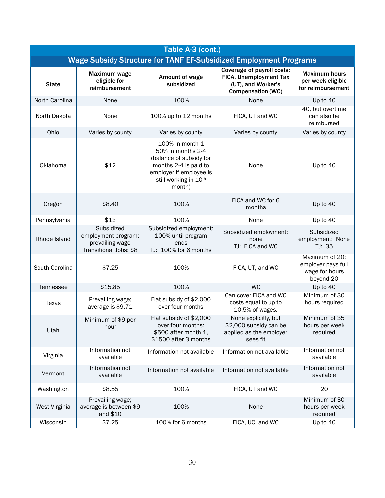| Table A-3 (cont.) |                                                                                |                                                                                                                                                        |                                                                                                        |                                                                     |
|-------------------|--------------------------------------------------------------------------------|--------------------------------------------------------------------------------------------------------------------------------------------------------|--------------------------------------------------------------------------------------------------------|---------------------------------------------------------------------|
|                   |                                                                                |                                                                                                                                                        | <b>Wage Subsidy Structure for TANF EF-Subsidized Employment Programs</b>                               |                                                                     |
| <b>State</b>      | Maximum wage<br>eligible for<br>reimbursement                                  | Amount of wage<br>subsidized                                                                                                                           | Coverage of payroll costs:<br>FICA, Unemployment Tax<br>(UT), and Worker's<br><b>Compensation (WC)</b> | <b>Maximum hours</b><br>per week eligible<br>for reimbursement      |
| North Carolina    | None                                                                           | 100%                                                                                                                                                   | None                                                                                                   | Up to 40                                                            |
| North Dakota      | None                                                                           | 100% up to 12 months                                                                                                                                   | FICA, UT and WC                                                                                        | 40, but overtime<br>can also be<br>reimbursed                       |
| Ohio              | Varies by county                                                               | Varies by county                                                                                                                                       | Varies by county                                                                                       | Varies by county                                                    |
| Oklahoma          | \$12                                                                           | 100% in month 1<br>50% in months 2-4<br>(balance of subsidy for<br>months 2-4 is paid to<br>employer if employee is<br>still working in 10th<br>month) | None                                                                                                   | Up to 40                                                            |
| Oregon            | \$8.40                                                                         | 100%                                                                                                                                                   | FICA and WC for 6<br>months                                                                            | Up to 40                                                            |
| Pennsylvania      | \$13                                                                           | 100%                                                                                                                                                   | None                                                                                                   | Up to 40                                                            |
| Rhode Island      | Subsidized<br>employment program:<br>prevailing wage<br>Transitional Jobs: \$8 | Subsidized employment:<br>100% until program<br>ends<br>TJ: 100% for 6 months                                                                          | Subsidized employment:<br>none<br>TJ: FICA and WC                                                      | Subsidized<br>employment: None<br>TJ: 35                            |
| South Carolina    | \$7.25                                                                         | 100%                                                                                                                                                   | FICA, UT, and WC                                                                                       | Maximum of 20;<br>employer pays full<br>wage for hours<br>beyond 20 |
| Tennessee         | \$15.85                                                                        | 100%                                                                                                                                                   | <b>WC</b>                                                                                              | Up to 40                                                            |
| Texas             | Prevailing wage;<br>average is \$9.71                                          | Flat subsidy of \$2,000<br>over four months                                                                                                            | Can cover FICA and WC<br>costs equal to up to<br>10.5% of wages.                                       | Minimum of 30<br>hours required                                     |
| Utah              | Minimum of \$9 per<br>hour                                                     | Flat subsidy of \$2,000<br>over four months:<br>\$500 after month 1,<br>\$1500 after 3 months                                                          | None explicitly, but<br>\$2,000 subsidy can be<br>applied as the employer<br>sees fit                  | Minimum of 35<br>hours per week<br>required                         |
| Virginia          | Information not<br>available                                                   | Information not available                                                                                                                              | Information not available                                                                              | Information not<br>available                                        |
| Vermont           | Information not<br>available                                                   | Information not available                                                                                                                              | Information not available                                                                              | Information not<br>available                                        |
| Washington        | \$8.55                                                                         | 100%                                                                                                                                                   | FICA, UT and WC                                                                                        | 20                                                                  |
| West Virginia     | Prevailing wage;<br>average is between \$9<br>and \$10                         | 100%                                                                                                                                                   | None                                                                                                   | Minimum of 30<br>hours per week<br>required                         |
| Wisconsin         | \$7.25                                                                         | 100% for 6 months                                                                                                                                      | FICA, UC, and WC                                                                                       | Up to 40                                                            |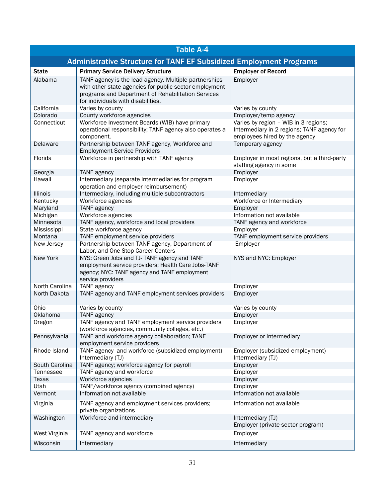| <b>Table A-4</b> |                                                                                                                                                                                                             |                                                                                                                     |  |
|------------------|-------------------------------------------------------------------------------------------------------------------------------------------------------------------------------------------------------------|---------------------------------------------------------------------------------------------------------------------|--|
|                  | <b>Administrative Structure for TANF EF Subsidized Employment Programs</b>                                                                                                                                  |                                                                                                                     |  |
| <b>State</b>     | <b>Primary Service Delivery Structure</b>                                                                                                                                                                   | <b>Employer of Record</b>                                                                                           |  |
| Alabama          | TANF agency is the lead agency. Multiple partnerships<br>with other state agencies for public-sector employment<br>programs and Department of Rehabilitation Services<br>for individuals with disabilities. | Employer                                                                                                            |  |
| California       | Varies by county                                                                                                                                                                                            | Varies by county                                                                                                    |  |
| Colorado         | County workforce agencies                                                                                                                                                                                   | Employer/temp agency                                                                                                |  |
| Connecticut      | Workforce Investment Boards (WIB) have primary<br>operational responsibility; TANF agency also operates a<br>component.                                                                                     | Varies by region - WIB in 3 regions;<br>Intermediary in 2 regions; TANF agency for<br>employees hired by the agency |  |
| Delaware         | Partnership between TANF agency, Workforce and<br><b>Employment Service Providers</b>                                                                                                                       | Temporary agency                                                                                                    |  |
| Florida          | Workforce in partnership with TANF agency                                                                                                                                                                   | Employer in most regions, but a third-party<br>staffing agency in some                                              |  |
| Georgia          | <b>TANF</b> agency                                                                                                                                                                                          | Employer                                                                                                            |  |
| Hawaii           | Intermediary (separate intermediaries for program<br>operation and employer reimbursement)                                                                                                                  | Employer                                                                                                            |  |
| <b>Illinois</b>  | Intermediary, including multiple subcontractors                                                                                                                                                             | Intermediary                                                                                                        |  |
| Kentucky         | Workforce agencies                                                                                                                                                                                          | Workforce or Intermediary                                                                                           |  |
| Maryland         | <b>TANF</b> agency                                                                                                                                                                                          | Employer                                                                                                            |  |
| Michigan         | Workforce agencies                                                                                                                                                                                          | Information not available                                                                                           |  |
| Minnesota        | TANF agency, workforce and local providers                                                                                                                                                                  | TANF agency and workforce                                                                                           |  |
| Mississippi      | State workforce agency                                                                                                                                                                                      | Employer                                                                                                            |  |
| Montana          | TANF employment service providers                                                                                                                                                                           | TANF employment service providers                                                                                   |  |
| New Jersey       | Partnership between TANF agency, Department of<br>Labor, and One Stop Career Centers                                                                                                                        | Employer                                                                                                            |  |
| New York         | NYS: Green Jobs and TJ- TANF agency and TANF<br>employment service providers; Health Care Jobs-TANF<br>agency; NYC: TANF agency and TANF employment<br>service providers                                    | NYS and NYC: Employer                                                                                               |  |
| North Carolina   | TANF agency                                                                                                                                                                                                 | Employer                                                                                                            |  |
| North Dakota     | TANF agency and TANF employment services providers                                                                                                                                                          | Employer                                                                                                            |  |
| Ohio             | Varies by county                                                                                                                                                                                            | Varies by county                                                                                                    |  |
| Oklahoma         | TANF agency                                                                                                                                                                                                 | Employer                                                                                                            |  |
| Oregon           | TANF agency and TANF employment service providers<br>(workforce agencies, community colleges, etc.)                                                                                                         | Employer                                                                                                            |  |
| Pennsylvania     | TANF and workforce agency collaboration; TANF<br>employment service providers                                                                                                                               | Employer or intermediary                                                                                            |  |
| Rhode Island     | TANF agency and workforce (subsidized employment)<br>Intermediary (TJ)                                                                                                                                      | Employer (subsidized employment)<br>Intermediary (TJ)                                                               |  |
| South Carolina   | TANF agency; workforce agency for payroll                                                                                                                                                                   | Employer                                                                                                            |  |
| Tennessee        | TANF agency and workforce                                                                                                                                                                                   | Employer                                                                                                            |  |
| Texas            | Workforce agencies                                                                                                                                                                                          | Employer                                                                                                            |  |
| Utah             | TANF/workforce agency (combined agency)                                                                                                                                                                     | Employer                                                                                                            |  |
| Vermont          | Information not available                                                                                                                                                                                   | Information not available                                                                                           |  |
| Virginia         | TANF agency and employment services providers;<br>private organizations                                                                                                                                     | Information not available                                                                                           |  |
| Washington       | Workforce and intermediary                                                                                                                                                                                  | Intermediary (TJ)<br>Employer (private-sector program)                                                              |  |
| West Virginia    | TANF agency and workforce                                                                                                                                                                                   | Employer                                                                                                            |  |
| Wisconsin        | Intermediary                                                                                                                                                                                                | Intermediary                                                                                                        |  |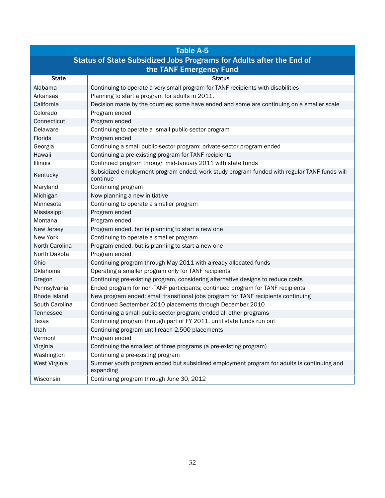|                                                                      | <b>Table A-5</b>                                                                                        |  |  |  |
|----------------------------------------------------------------------|---------------------------------------------------------------------------------------------------------|--|--|--|
| Status of State Subsidized Jobs Programs for Adults after the End of |                                                                                                         |  |  |  |
|                                                                      | the TANF Emergency Fund                                                                                 |  |  |  |
| <b>State</b>                                                         | <b>Status</b>                                                                                           |  |  |  |
| Alabama                                                              | Continuing to operate a very small program for TANF recipients with disabilities                        |  |  |  |
| Arkansas                                                             | Planning to start a program for adults in 2011.                                                         |  |  |  |
| California                                                           | Decision made by the counties; some have ended and some are continuing on a smaller scale               |  |  |  |
| Colorado                                                             | Program ended                                                                                           |  |  |  |
| Connecticut                                                          | Program ended                                                                                           |  |  |  |
| Delaware                                                             | Continuing to operate a small public-sector program                                                     |  |  |  |
| Florida                                                              | Program ended                                                                                           |  |  |  |
| Georgia                                                              | Continuing a small public-sector program; private-sector program ended                                  |  |  |  |
| Hawaii                                                               | Continuing a pre-existing program for TANF recipients                                                   |  |  |  |
| Illinois                                                             | Continued program through mid-January 2011 with state funds                                             |  |  |  |
| Kentucky                                                             | Subsidized employment program ended; work-study program funded with regular TANF funds will<br>continue |  |  |  |
| Maryland                                                             | Continuing program                                                                                      |  |  |  |
| Michigan                                                             | Now planning a new initiative                                                                           |  |  |  |
| Minnesota                                                            | Continuing to operate a smaller program                                                                 |  |  |  |
| Mississippi                                                          | Program ended                                                                                           |  |  |  |
| Montana                                                              | Program ended                                                                                           |  |  |  |
| New Jersey                                                           | Program ended, but is planning to start a new one                                                       |  |  |  |
| New York                                                             | Continuing to operate a smaller program                                                                 |  |  |  |
| North Carolina                                                       | Program ended, but is planning to start a new one                                                       |  |  |  |
| North Dakota                                                         | Program ended                                                                                           |  |  |  |
| Ohio                                                                 | Continuing program through May 2011 with already-allocated funds                                        |  |  |  |
| Oklahoma                                                             | Operating a smaller program only for TANF recipients                                                    |  |  |  |
| Oregon                                                               | Continuing pre-existing program, considering alternative designs to reduce costs                        |  |  |  |
| Pennsylvania                                                         | Ended program for non-TANF participants; continued program for TANF recipients                          |  |  |  |
| Rhode Island                                                         | New program ended; small transitional jobs program for TANF recipients continuing                       |  |  |  |
| South Carolina                                                       | Continued September 2010 placements through December 2010                                               |  |  |  |
| Tennessee                                                            | Continuing a small public-sector program; ended all other programs                                      |  |  |  |
| Texas                                                                | Continuing program through part of FY 2011, until state funds run out                                   |  |  |  |
| Utah                                                                 | Continuing program until reach 2,500 placements                                                         |  |  |  |
| Vermont                                                              | Program ended                                                                                           |  |  |  |
| Virginia                                                             | Continuing the smallest of three programs (a pre-existing program)                                      |  |  |  |
| Washington                                                           | Continuing a pre-existing program                                                                       |  |  |  |
| West Virginia                                                        | Summer youth program ended but subsidized employment program for adults is continuing and<br>expanding  |  |  |  |
| Wisconsin                                                            | Continuing program through June 30, 2012                                                                |  |  |  |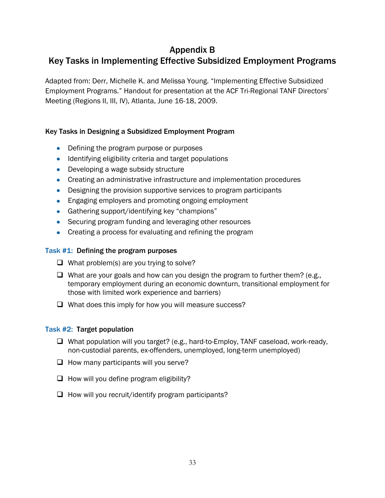# Appendix B

# Key Tasks in Implementing Effective Subsidized Employment Programs

Adapted from: Derr, Michelle K. and Melissa Young. "Implementing Effective Subsidized Employment Programs." Handout for presentation at the ACF Tri-Regional TANF Directors' Meeting (Regions II, III, IV), Atlanta, June 16-18, 2009.

### Key Tasks in Designing a Subsidized Employment Program

- Defining the program purpose or purposes
- Identifying eligibility criteria and target populations
- Developing a wage subsidy structure
- Creating an administrative infrastructure and implementation procedures
- Designing the provision supportive services to program participants
- **Engaging employers and promoting ongoing employment**
- Gathering support/identifying key "champions"
- Securing program funding and leveraging other resources
- Creating a process for evaluating and refining the program

### Task #1: Defining the program purposes

- $\Box$  What problem(s) are you trying to solve?
- $\Box$  What are your goals and how can you design the program to further them? (e.g., temporary employment during an economic downturn, transitional employment for those with limited work experience and barriers)
- $\Box$  What does this imply for how you will measure success?

### Task #2: Target population

- □ What population will you target? (e.g., hard-to-Employ, TANF caseload, work-ready, non-custodial parents, ex-offenders, unemployed, long-term unemployed)
- $\Box$  How many participants will you serve?
- $\Box$  How will you define program eligibility?
- $\Box$  How will you recruit/identify program participants?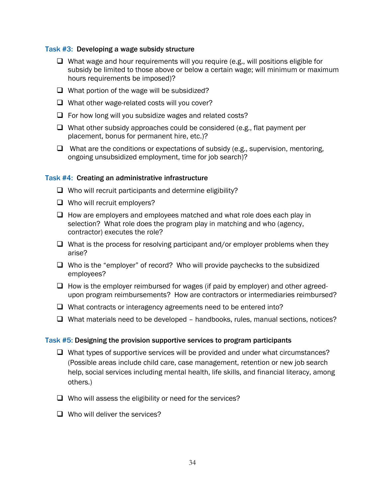### Task #3: Developing a wage subsidy structure

- $\Box$  What wage and hour requirements will you require (e.g., will positions eligible for subsidy be limited to those above or below a certain wage; will minimum or maximum hours requirements be imposed)?
- $\Box$  What portion of the wage will be subsidized?
- $\Box$  What other wage-related costs will you cover?
- $\Box$  For how long will you subsidize wages and related costs?
- $\Box$  What other subsidy approaches could be considered (e.g., flat payment per placement, bonus for permanent hire, etc.)?
- $\Box$  What are the conditions or expectations of subsidy (e.g., supervision, mentoring, ongoing unsubsidized employment, time for job search)?

#### Task #4: Creating an administrative infrastructure

- $\Box$  Who will recruit participants and determine eligibility?
- $\Box$  Who will recruit employers?
- $\Box$  How are employers and employees matched and what role does each play in selection? What role does the program play in matching and who (agency, contractor) executes the role?
- $\Box$  What is the process for resolving participant and/or employer problems when they arise?
- $\Box$  Who is the "employer" of record? Who will provide paychecks to the subsidized employees?
- $\Box$  How is the employer reimbursed for wages (if paid by employer) and other agreedupon program reimbursements? How are contractors or intermediaries reimbursed?
- □ What contracts or interagency agreements need to be entered into?
- $\Box$  What materials need to be developed handbooks, rules, manual sections, notices?

#### Task #5: Designing the provision supportive services to program participants

- $\Box$  What types of supportive services will be provided and under what circumstances? (Possible areas include child care, case management, retention or new job search help, social services including mental health, life skills, and financial literacy, among others.)
- $\Box$  Who will assess the eligibility or need for the services?
- $\Box$  Who will deliver the services?